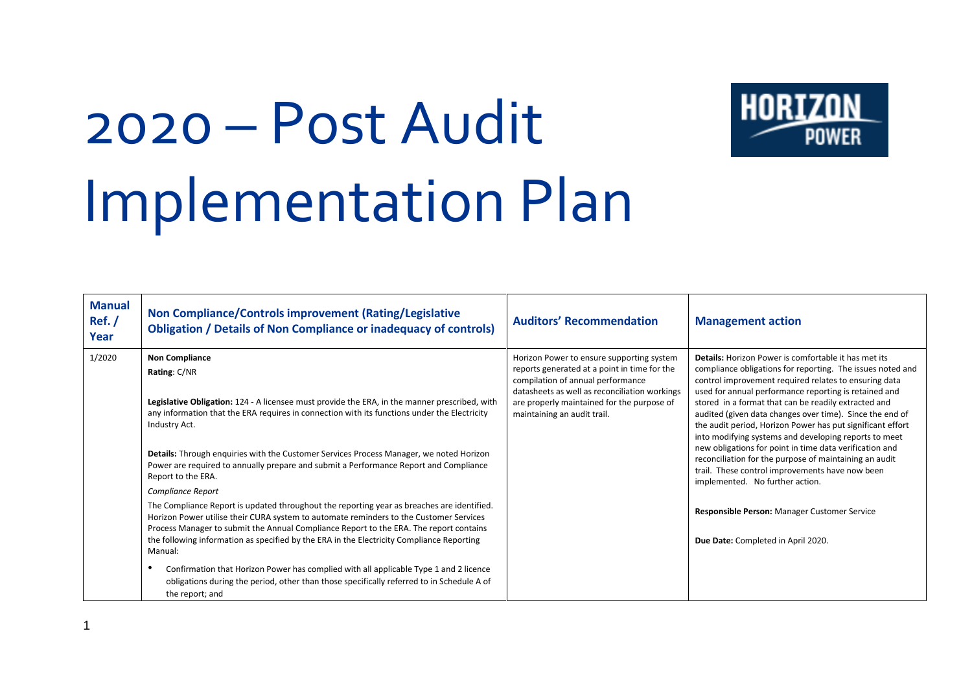## 2020 – Post Audit Implementation Plan



| <b>Manual</b><br>Ref./<br>Year | Non Compliance/Controls improvement (Rating/Legislative<br><b>Obligation / Details of Non Compliance or inadequacy of controls)</b>                                                                                                                                            | <b>Auditors' Recommendation</b>                                                                                            | <b>Management action</b>                                                                                                                                                                                                                                                                         |
|--------------------------------|--------------------------------------------------------------------------------------------------------------------------------------------------------------------------------------------------------------------------------------------------------------------------------|----------------------------------------------------------------------------------------------------------------------------|--------------------------------------------------------------------------------------------------------------------------------------------------------------------------------------------------------------------------------------------------------------------------------------------------|
| 1/2020                         | <b>Non Compliance</b>                                                                                                                                                                                                                                                          | Horizon Power to ensure supporting system                                                                                  | <b>Details:</b> Horizon Power is comfortable it has met its                                                                                                                                                                                                                                      |
|                                | Rating: C/NR                                                                                                                                                                                                                                                                   | reports generated at a point in time for the<br>compilation of annual performance                                          | compliance obligations for reporting. The issues noted and<br>control improvement required relates to ensuring data                                                                                                                                                                              |
|                                | Legislative Obligation: 124 - A licensee must provide the ERA, in the manner prescribed, with<br>any information that the ERA requires in connection with its functions under the Electricity<br>Industry Act.                                                                 | datasheets as well as reconciliation workings<br>are properly maintained for the purpose of<br>maintaining an audit trail. | used for annual performance reporting is retained and<br>stored in a format that can be readily extracted and<br>audited (given data changes over time). Since the end of<br>the audit period, Horizon Power has put significant effort<br>into modifying systems and developing reports to meet |
|                                | Details: Through enquiries with the Customer Services Process Manager, we noted Horizon<br>Power are required to annually prepare and submit a Performance Report and Compliance<br>Report to the ERA.                                                                         |                                                                                                                            | new obligations for point in time data verification and<br>reconciliation for the purpose of maintaining an audit<br>trail. These control improvements have now been<br>implemented. No further action.                                                                                          |
|                                | Compliance Report                                                                                                                                                                                                                                                              |                                                                                                                            |                                                                                                                                                                                                                                                                                                  |
|                                | The Compliance Report is updated throughout the reporting year as breaches are identified.<br>Horizon Power utilise their CURA system to automate reminders to the Customer Services<br>Process Manager to submit the Annual Compliance Report to the ERA. The report contains |                                                                                                                            | Responsible Person: Manager Customer Service                                                                                                                                                                                                                                                     |
|                                | the following information as specified by the ERA in the Electricity Compliance Reporting<br>Manual:                                                                                                                                                                           |                                                                                                                            | Due Date: Completed in April 2020.                                                                                                                                                                                                                                                               |
|                                | Confirmation that Horizon Power has complied with all applicable Type 1 and 2 licence                                                                                                                                                                                          |                                                                                                                            |                                                                                                                                                                                                                                                                                                  |
|                                | obligations during the period, other than those specifically referred to in Schedule A of<br>the report; and                                                                                                                                                                   |                                                                                                                            |                                                                                                                                                                                                                                                                                                  |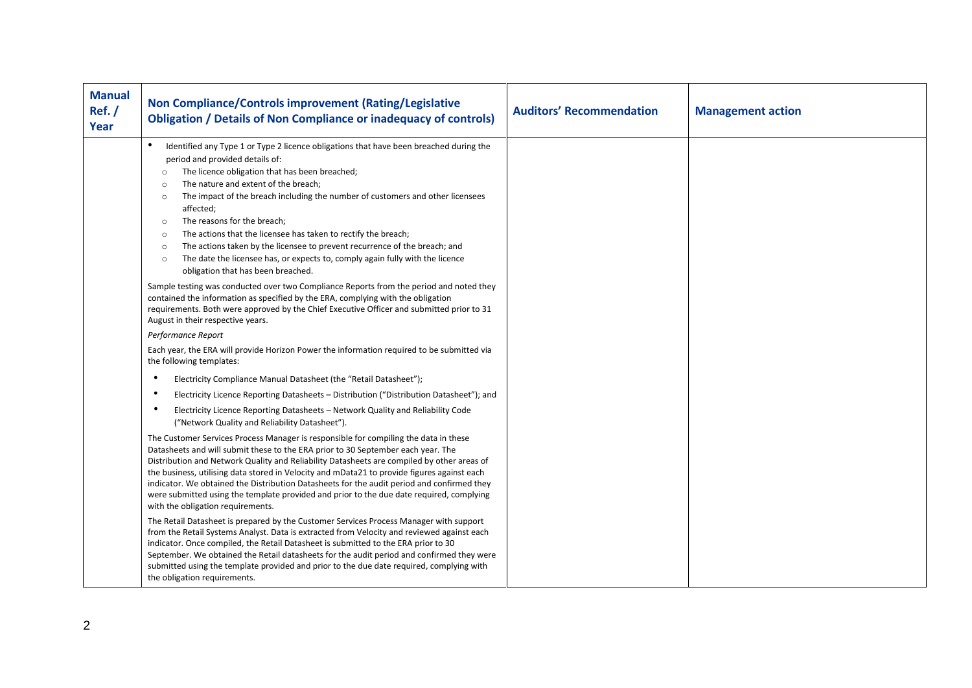| <b>Manual</b><br>Ref./<br>Year | Non Compliance/Controls improvement (Rating/Legislative<br><b>Obligation / Details of Non Compliance or inadequacy of controls)</b>                                                                                                                                                                                                                                                                                                                                                                                                                                                                                                                                                                   | <b>Auditors' Recommendation</b> | <b>Management action</b> |
|--------------------------------|-------------------------------------------------------------------------------------------------------------------------------------------------------------------------------------------------------------------------------------------------------------------------------------------------------------------------------------------------------------------------------------------------------------------------------------------------------------------------------------------------------------------------------------------------------------------------------------------------------------------------------------------------------------------------------------------------------|---------------------------------|--------------------------|
|                                | Identified any Type 1 or Type 2 licence obligations that have been breached during the<br>period and provided details of:<br>The licence obligation that has been breached;<br>$\circ$<br>The nature and extent of the breach;<br>$\circ$<br>The impact of the breach including the number of customers and other licensees<br>$\circ$<br>affected;<br>The reasons for the breach;<br>$\circ$<br>The actions that the licensee has taken to rectify the breach;<br>$\circ$<br>The actions taken by the licensee to prevent recurrence of the breach; and<br>$\circ$<br>The date the licensee has, or expects to, comply again fully with the licence<br>$\circ$<br>obligation that has been breached. |                                 |                          |
|                                | Sample testing was conducted over two Compliance Reports from the period and noted they<br>contained the information as specified by the ERA, complying with the obligation<br>requirements. Both were approved by the Chief Executive Officer and submitted prior to 31<br>August in their respective years.                                                                                                                                                                                                                                                                                                                                                                                         |                                 |                          |
|                                | Performance Report                                                                                                                                                                                                                                                                                                                                                                                                                                                                                                                                                                                                                                                                                    |                                 |                          |
|                                | Each year, the ERA will provide Horizon Power the information required to be submitted via<br>the following templates:                                                                                                                                                                                                                                                                                                                                                                                                                                                                                                                                                                                |                                 |                          |
|                                | $\bullet$<br>Electricity Compliance Manual Datasheet (the "Retail Datasheet");                                                                                                                                                                                                                                                                                                                                                                                                                                                                                                                                                                                                                        |                                 |                          |
|                                | $\bullet$<br>Electricity Licence Reporting Datasheets - Distribution ("Distribution Datasheet"); and                                                                                                                                                                                                                                                                                                                                                                                                                                                                                                                                                                                                  |                                 |                          |
|                                | Electricity Licence Reporting Datasheets - Network Quality and Reliability Code<br>("Network Quality and Reliability Datasheet").                                                                                                                                                                                                                                                                                                                                                                                                                                                                                                                                                                     |                                 |                          |
|                                | The Customer Services Process Manager is responsible for compiling the data in these<br>Datasheets and will submit these to the ERA prior to 30 September each year. The<br>Distribution and Network Quality and Reliability Datasheets are compiled by other areas of<br>the business, utilising data stored in Velocity and mData21 to provide figures against each<br>indicator. We obtained the Distribution Datasheets for the audit period and confirmed they<br>were submitted using the template provided and prior to the due date required, complying<br>with the obligation requirements.                                                                                                  |                                 |                          |
|                                | The Retail Datasheet is prepared by the Customer Services Process Manager with support<br>from the Retail Systems Analyst. Data is extracted from Velocity and reviewed against each<br>indicator. Once compiled, the Retail Datasheet is submitted to the ERA prior to 30<br>September. We obtained the Retail datasheets for the audit period and confirmed they were<br>submitted using the template provided and prior to the due date required, complying with<br>the obligation requirements.                                                                                                                                                                                                   |                                 |                          |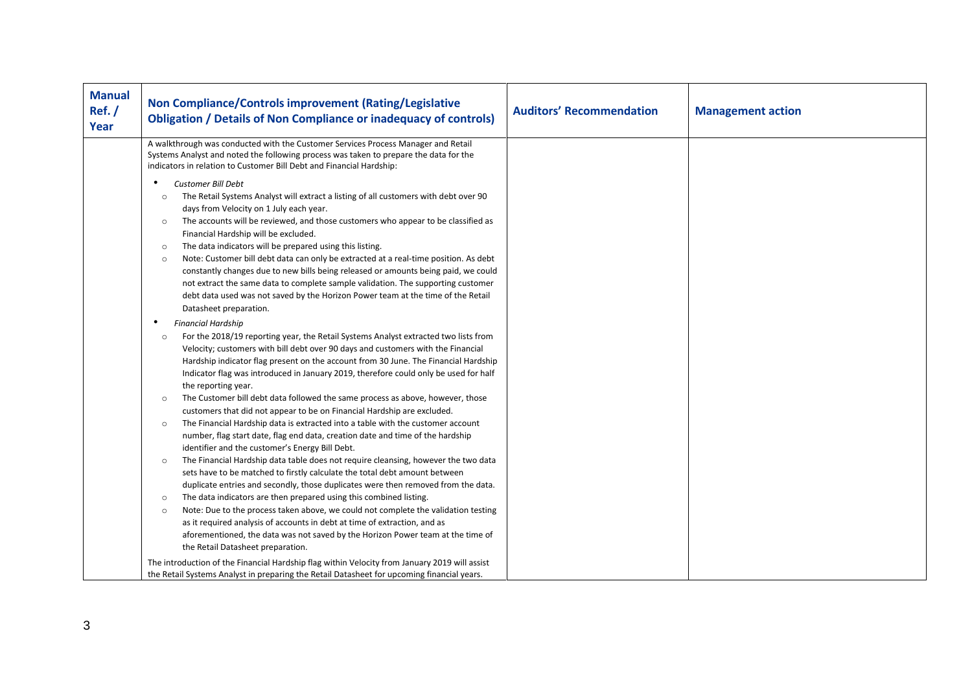| <b>Manual</b><br>Ref./<br>Year | Non Compliance/Controls improvement (Rating/Legislative<br><b>Obligation / Details of Non Compliance or inadequacy of controls)</b>                                                                                                                                                                                                                                                                                                                                                                                                                                                                                                                                                                                                                                                                                                                                                                                                                                                                                                                                                                                                                                                                                                                                                                                                                                                                                                                                                                                                                                                     | <b>Auditors' Recommendation</b> | <b>Management action</b> |
|--------------------------------|-----------------------------------------------------------------------------------------------------------------------------------------------------------------------------------------------------------------------------------------------------------------------------------------------------------------------------------------------------------------------------------------------------------------------------------------------------------------------------------------------------------------------------------------------------------------------------------------------------------------------------------------------------------------------------------------------------------------------------------------------------------------------------------------------------------------------------------------------------------------------------------------------------------------------------------------------------------------------------------------------------------------------------------------------------------------------------------------------------------------------------------------------------------------------------------------------------------------------------------------------------------------------------------------------------------------------------------------------------------------------------------------------------------------------------------------------------------------------------------------------------------------------------------------------------------------------------------------|---------------------------------|--------------------------|
|                                | A walkthrough was conducted with the Customer Services Process Manager and Retail<br>Systems Analyst and noted the following process was taken to prepare the data for the<br>indicators in relation to Customer Bill Debt and Financial Hardship:<br>$\bullet$<br><b>Customer Bill Debt</b><br>The Retail Systems Analyst will extract a listing of all customers with debt over 90<br>$\circ$<br>days from Velocity on 1 July each year.<br>The accounts will be reviewed, and those customers who appear to be classified as<br>$\circ$<br>Financial Hardship will be excluded.<br>The data indicators will be prepared using this listing.<br>$\circ$<br>Note: Customer bill debt data can only be extracted at a real-time position. As debt<br>$\circ$<br>constantly changes due to new bills being released or amounts being paid, we could<br>not extract the same data to complete sample validation. The supporting customer<br>debt data used was not saved by the Horizon Power team at the time of the Retail<br>Datasheet preparation.<br>$\bullet$<br><b>Financial Hardship</b><br>For the 2018/19 reporting year, the Retail Systems Analyst extracted two lists from<br>$\circ$<br>Velocity; customers with bill debt over 90 days and customers with the Financial<br>Hardship indicator flag present on the account from 30 June. The Financial Hardship<br>Indicator flag was introduced in January 2019, therefore could only be used for half<br>the reporting year.<br>The Customer bill debt data followed the same process as above, however, those<br>$\circ$ |                                 |                          |
|                                | customers that did not appear to be on Financial Hardship are excluded.<br>The Financial Hardship data is extracted into a table with the customer account<br>$\circ$<br>number, flag start date, flag end data, creation date and time of the hardship<br>identifier and the customer's Energy Bill Debt.<br>The Financial Hardship data table does not require cleansing, however the two data<br>$\circ$<br>sets have to be matched to firstly calculate the total debt amount between<br>duplicate entries and secondly, those duplicates were then removed from the data.<br>The data indicators are then prepared using this combined listing.<br>$\circ$<br>Note: Due to the process taken above, we could not complete the validation testing<br>$\circ$<br>as it required analysis of accounts in debt at time of extraction, and as<br>aforementioned, the data was not saved by the Horizon Power team at the time of<br>the Retail Datasheet preparation.                                                                                                                                                                                                                                                                                                                                                                                                                                                                                                                                                                                                                   |                                 |                          |
|                                | The introduction of the Financial Hardship flag within Velocity from January 2019 will assist<br>the Retail Systems Analyst in preparing the Retail Datasheet for upcoming financial years.                                                                                                                                                                                                                                                                                                                                                                                                                                                                                                                                                                                                                                                                                                                                                                                                                                                                                                                                                                                                                                                                                                                                                                                                                                                                                                                                                                                             |                                 |                          |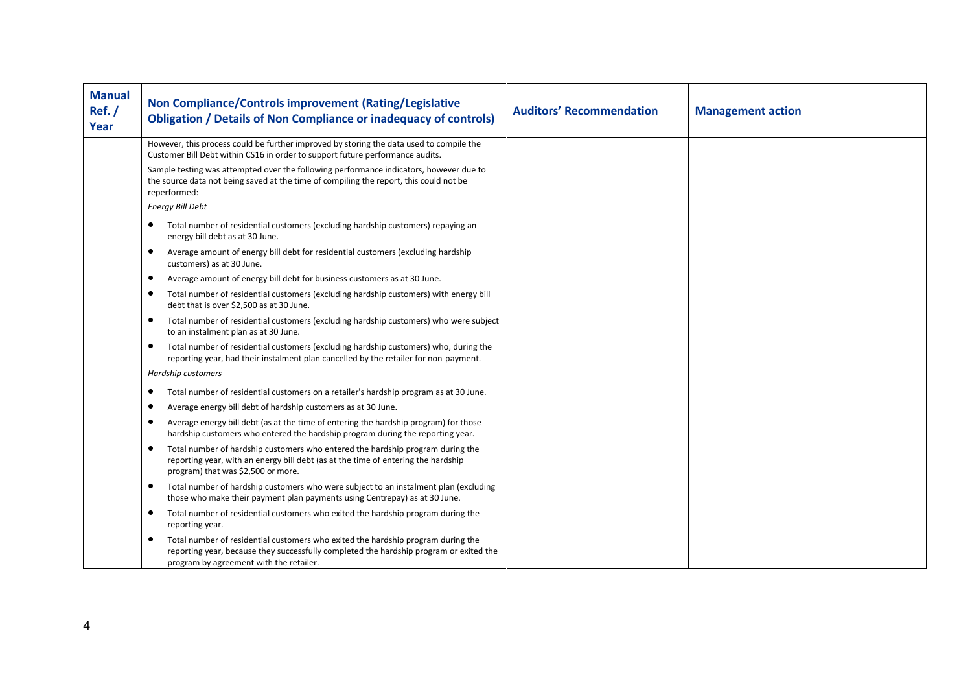| <b>Manual</b><br>Ref./<br>Year | Non Compliance/Controls improvement (Rating/Legislative<br><b>Obligation / Details of Non Compliance or inadequacy of controls)</b>                                                                                   | <b>Auditors' Recommendation</b> | <b>Management action</b> |
|--------------------------------|-----------------------------------------------------------------------------------------------------------------------------------------------------------------------------------------------------------------------|---------------------------------|--------------------------|
|                                | However, this process could be further improved by storing the data used to compile the<br>Customer Bill Debt within CS16 in order to support future performance audits.                                              |                                 |                          |
|                                | Sample testing was attempted over the following performance indicators, however due to<br>the source data not being saved at the time of compiling the report, this could not be<br>reperformed:                      |                                 |                          |
|                                | <b>Energy Bill Debt</b>                                                                                                                                                                                               |                                 |                          |
|                                | Total number of residential customers (excluding hardship customers) repaying an<br>٠<br>energy bill debt as at 30 June.                                                                                              |                                 |                          |
|                                | Average amount of energy bill debt for residential customers (excluding hardship<br>$\bullet$<br>customers) as at 30 June.                                                                                            |                                 |                          |
|                                | Average amount of energy bill debt for business customers as at 30 June.<br>٠                                                                                                                                         |                                 |                          |
|                                | Total number of residential customers (excluding hardship customers) with energy bill<br>٠<br>debt that is over \$2,500 as at 30 June.                                                                                |                                 |                          |
|                                | Total number of residential customers (excluding hardship customers) who were subject<br>٠<br>to an instalment plan as at 30 June.                                                                                    |                                 |                          |
|                                | Total number of residential customers (excluding hardship customers) who, during the<br>٠<br>reporting year, had their instalment plan cancelled by the retailer for non-payment.                                     |                                 |                          |
|                                | Hardship customers                                                                                                                                                                                                    |                                 |                          |
|                                | Total number of residential customers on a retailer's hardship program as at 30 June.<br>٠                                                                                                                            |                                 |                          |
|                                | Average energy bill debt of hardship customers as at 30 June.<br>٠                                                                                                                                                    |                                 |                          |
|                                | Average energy bill debt (as at the time of entering the hardship program) for those<br>٠<br>hardship customers who entered the hardship program during the reporting year.                                           |                                 |                          |
|                                | Total number of hardship customers who entered the hardship program during the<br>٠<br>reporting year, with an energy bill debt (as at the time of entering the hardship<br>program) that was \$2,500 or more.        |                                 |                          |
|                                | Total number of hardship customers who were subject to an instalment plan (excluding<br>٠<br>those who make their payment plan payments using Centrepay) as at 30 June.                                               |                                 |                          |
|                                | Total number of residential customers who exited the hardship program during the<br>٠<br>reporting year.                                                                                                              |                                 |                          |
|                                | Total number of residential customers who exited the hardship program during the<br>reporting year, because they successfully completed the hardship program or exited the<br>program by agreement with the retailer. |                                 |                          |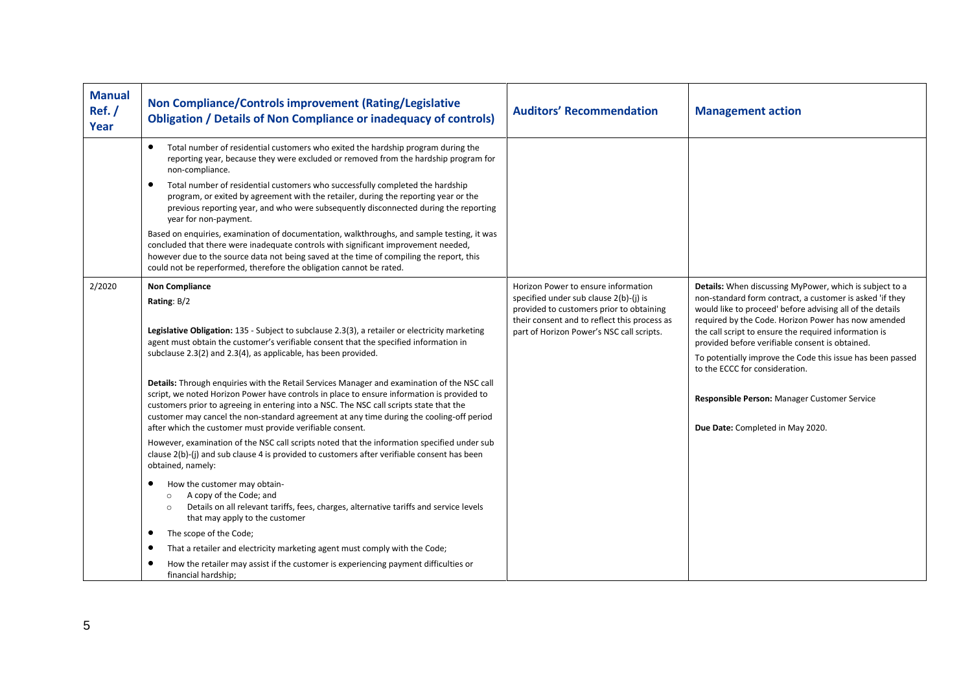| <b>Manual</b><br>Ref./<br>Year | Non Compliance/Controls improvement (Rating/Legislative<br><b>Obligation / Details of Non Compliance or inadequacy of controls)</b>                                                                                                                                                                                                                                                                                                                                                                                                                                                                                                                                                                                                                                                                                                                                                                                                                                                                                                                                                                                                                                                                                                                                                                                                                                                                           | <b>Auditors' Recommendation</b>                                                                                                                                                                                        | <b>Management action</b>                                                                                                                                                                                                                                                                                                                                                                                                                                                                                                                |
|--------------------------------|---------------------------------------------------------------------------------------------------------------------------------------------------------------------------------------------------------------------------------------------------------------------------------------------------------------------------------------------------------------------------------------------------------------------------------------------------------------------------------------------------------------------------------------------------------------------------------------------------------------------------------------------------------------------------------------------------------------------------------------------------------------------------------------------------------------------------------------------------------------------------------------------------------------------------------------------------------------------------------------------------------------------------------------------------------------------------------------------------------------------------------------------------------------------------------------------------------------------------------------------------------------------------------------------------------------------------------------------------------------------------------------------------------------|------------------------------------------------------------------------------------------------------------------------------------------------------------------------------------------------------------------------|-----------------------------------------------------------------------------------------------------------------------------------------------------------------------------------------------------------------------------------------------------------------------------------------------------------------------------------------------------------------------------------------------------------------------------------------------------------------------------------------------------------------------------------------|
|                                | $\bullet$<br>Total number of residential customers who exited the hardship program during the<br>reporting year, because they were excluded or removed from the hardship program for<br>non-compliance.<br>Total number of residential customers who successfully completed the hardship<br>٠<br>program, or exited by agreement with the retailer, during the reporting year or the<br>previous reporting year, and who were subsequently disconnected during the reporting<br>year for non-payment.<br>Based on enquiries, examination of documentation, walkthroughs, and sample testing, it was<br>concluded that there were inadequate controls with significant improvement needed,<br>however due to the source data not being saved at the time of compiling the report, this<br>could not be reperformed, therefore the obligation cannot be rated.                                                                                                                                                                                                                                                                                                                                                                                                                                                                                                                                                  |                                                                                                                                                                                                                        |                                                                                                                                                                                                                                                                                                                                                                                                                                                                                                                                         |
| 2/2020                         | <b>Non Compliance</b><br>Rating: B/2<br>Legislative Obligation: 135 - Subject to subclause 2.3(3), a retailer or electricity marketing<br>agent must obtain the customer's verifiable consent that the specified information in<br>subclause 2.3(2) and 2.3(4), as applicable, has been provided.<br>Details: Through enquiries with the Retail Services Manager and examination of the NSC call<br>script, we noted Horizon Power have controls in place to ensure information is provided to<br>customers prior to agreeing in entering into a NSC. The NSC call scripts state that the<br>customer may cancel the non-standard agreement at any time during the cooling-off period<br>after which the customer must provide verifiable consent.<br>However, examination of the NSC call scripts noted that the information specified under sub<br>clause 2(b)-(j) and sub clause 4 is provided to customers after verifiable consent has been<br>obtained, namely:<br>How the customer may obtain-<br>A copy of the Code; and<br>$\circ$<br>Details on all relevant tariffs, fees, charges, alternative tariffs and service levels<br>$\circ$<br>that may apply to the customer<br>The scope of the Code;<br>That a retailer and electricity marketing agent must comply with the Code;<br>٠<br>How the retailer may assist if the customer is experiencing payment difficulties or<br>financial hardship; | Horizon Power to ensure information<br>specified under sub clause 2(b)-(j) is<br>provided to customers prior to obtaining<br>their consent and to reflect this process as<br>part of Horizon Power's NSC call scripts. | Details: When discussing MyPower, which is subject to a<br>non-standard form contract, a customer is asked 'if they<br>would like to proceed' before advising all of the details<br>required by the Code. Horizon Power has now amended<br>the call script to ensure the required information is<br>provided before verifiable consent is obtained.<br>To potentially improve the Code this issue has been passed<br>to the ECCC for consideration.<br>Responsible Person: Manager Customer Service<br>Due Date: Completed in May 2020. |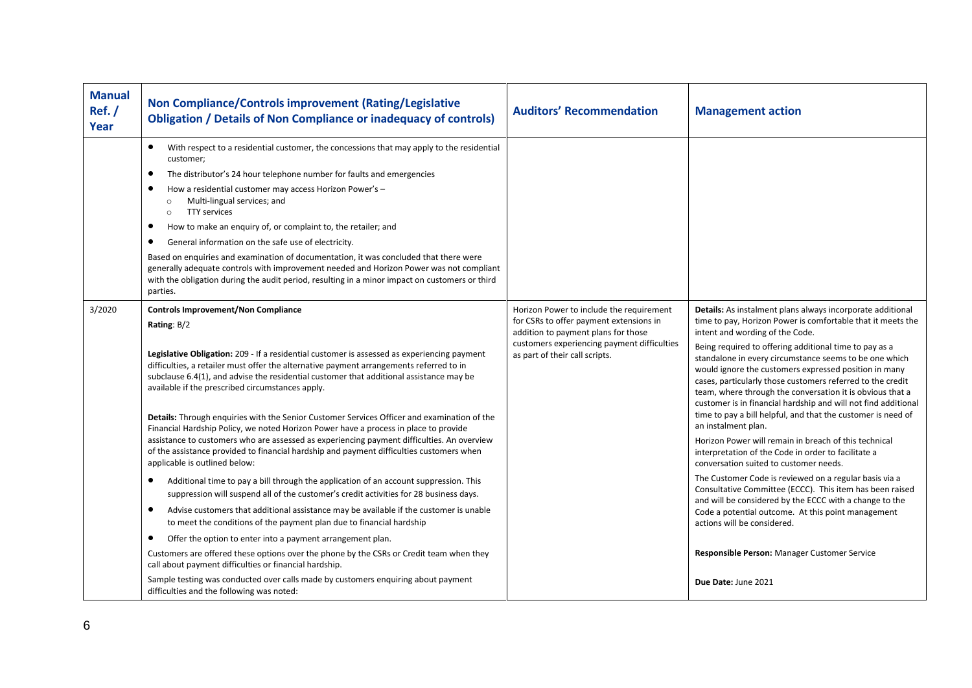| <b>Manual</b><br>Ref./<br><b>Year</b> | Non Compliance/Controls improvement (Rating/Legislative<br><b>Obligation / Details of Non Compliance or inadequacy of controls)</b>                                                                                                                                                                                                                                                                                                                                                                                                                                                                                                                                                                                                                                                                                                                                                                                                                                                                                                                                                                                                                                                                                                                                                                                                                                                                                                                                                                                                                                  | <b>Auditors' Recommendation</b>                                                                                                                                                                             | <b>Management action</b>                                                                                                                                                                                                                                                                                                                                                                                                                                                                                                                                                                                                                                                                                                                                                                                                                                                                                                                                                                                                                                                                                                             |
|---------------------------------------|----------------------------------------------------------------------------------------------------------------------------------------------------------------------------------------------------------------------------------------------------------------------------------------------------------------------------------------------------------------------------------------------------------------------------------------------------------------------------------------------------------------------------------------------------------------------------------------------------------------------------------------------------------------------------------------------------------------------------------------------------------------------------------------------------------------------------------------------------------------------------------------------------------------------------------------------------------------------------------------------------------------------------------------------------------------------------------------------------------------------------------------------------------------------------------------------------------------------------------------------------------------------------------------------------------------------------------------------------------------------------------------------------------------------------------------------------------------------------------------------------------------------------------------------------------------------|-------------------------------------------------------------------------------------------------------------------------------------------------------------------------------------------------------------|--------------------------------------------------------------------------------------------------------------------------------------------------------------------------------------------------------------------------------------------------------------------------------------------------------------------------------------------------------------------------------------------------------------------------------------------------------------------------------------------------------------------------------------------------------------------------------------------------------------------------------------------------------------------------------------------------------------------------------------------------------------------------------------------------------------------------------------------------------------------------------------------------------------------------------------------------------------------------------------------------------------------------------------------------------------------------------------------------------------------------------------|
|                                       | With respect to a residential customer, the concessions that may apply to the residential<br>$\bullet$<br>customer;<br>The distributor's 24 hour telephone number for faults and emergencies<br>How a residential customer may access Horizon Power's -<br>Multi-lingual services; and<br>$\circ$<br><b>TTY services</b><br>$\circ$<br>How to make an enguiry of, or complaint to, the retailer; and<br>General information on the safe use of electricity.<br>Based on enquiries and examination of documentation, it was concluded that there were<br>generally adequate controls with improvement needed and Horizon Power was not compliant<br>with the obligation during the audit period, resulting in a minor impact on customers or third<br>parties.                                                                                                                                                                                                                                                                                                                                                                                                                                                                                                                                                                                                                                                                                                                                                                                                        |                                                                                                                                                                                                             |                                                                                                                                                                                                                                                                                                                                                                                                                                                                                                                                                                                                                                                                                                                                                                                                                                                                                                                                                                                                                                                                                                                                      |
| 3/2020                                | <b>Controls Improvement/Non Compliance</b><br>Rating: B/2<br>Legislative Obligation: 209 - If a residential customer is assessed as experiencing payment<br>difficulties, a retailer must offer the alternative payment arrangements referred to in<br>subclause 6.4(1), and advise the residential customer that additional assistance may be<br>available if the prescribed circumstances apply.<br><b>Details:</b> Through enguiries with the Senior Customer Services Officer and examination of the<br>Financial Hardship Policy, we noted Horizon Power have a process in place to provide<br>assistance to customers who are assessed as experiencing payment difficulties. An overview<br>of the assistance provided to financial hardship and payment difficulties customers when<br>applicable is outlined below:<br>Additional time to pay a bill through the application of an account suppression. This<br>$\bullet$<br>suppression will suspend all of the customer's credit activities for 28 business days.<br>٠<br>Advise customers that additional assistance may be available if the customer is unable<br>to meet the conditions of the payment plan due to financial hardship<br>$\bullet$<br>Offer the option to enter into a payment arrangement plan.<br>Customers are offered these options over the phone by the CSRs or Credit team when they<br>call about payment difficulties or financial hardship.<br>Sample testing was conducted over calls made by customers enquiring about payment<br>difficulties and the following was noted: | Horizon Power to include the requirement<br>for CSRs to offer payment extensions in<br>addition to payment plans for those<br>customers experiencing payment difficulties<br>as part of their call scripts. | Details: As instalment plans always incorporate additional<br>time to pay, Horizon Power is comfortable that it meets the<br>intent and wording of the Code.<br>Being required to offering additional time to pay as a<br>standalone in every circumstance seems to be one which<br>would ignore the customers expressed position in many<br>cases, particularly those customers referred to the credit<br>team, where through the conversation it is obvious that a<br>customer is in financial hardship and will not find additional<br>time to pay a bill helpful, and that the customer is need of<br>an instalment plan.<br>Horizon Power will remain in breach of this technical<br>interpretation of the Code in order to facilitate a<br>conversation suited to customer needs.<br>The Customer Code is reviewed on a regular basis via a<br>Consultative Committee (ECCC). This item has been raised<br>and will be considered by the ECCC with a change to the<br>Code a potential outcome. At this point management<br>actions will be considered.<br>Responsible Person: Manager Customer Service<br>Due Date: June 2021 |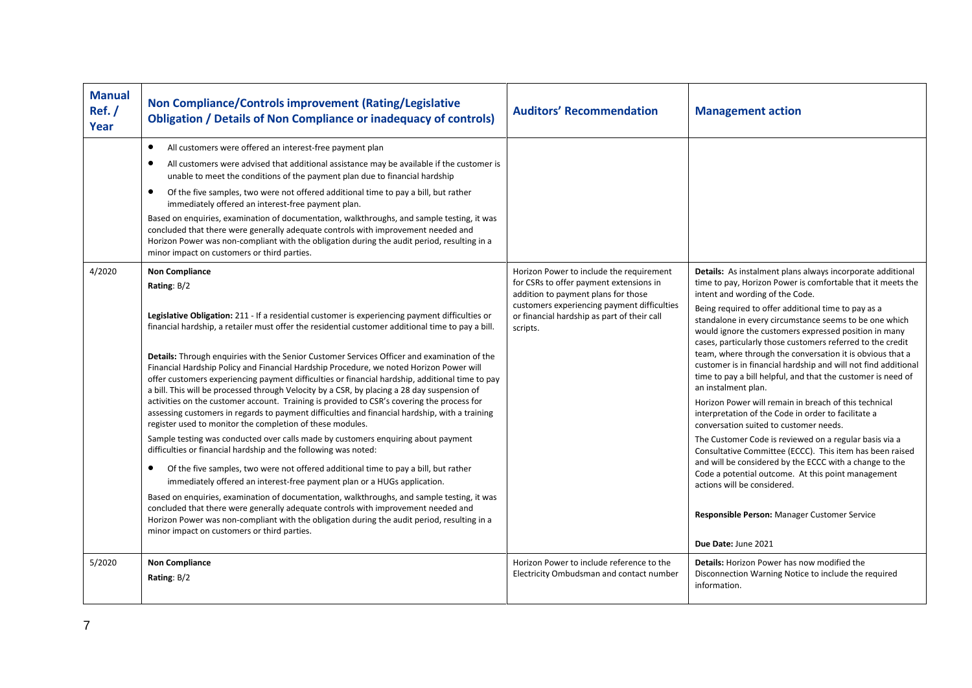| <b>Manual</b><br>Ref./<br>Year | Non Compliance/Controls improvement (Rating/Legislative<br><b>Obligation / Details of Non Compliance or inadequacy of controls)</b>                                                                                                                                                                                                                                                                                                                                                                                                                                                                                                                                                            | <b>Auditors' Recommendation</b>                                                                                            | <b>Management action</b>                                                                                                                                                                                                                                                                                                                                                                                                                                                                                            |
|--------------------------------|------------------------------------------------------------------------------------------------------------------------------------------------------------------------------------------------------------------------------------------------------------------------------------------------------------------------------------------------------------------------------------------------------------------------------------------------------------------------------------------------------------------------------------------------------------------------------------------------------------------------------------------------------------------------------------------------|----------------------------------------------------------------------------------------------------------------------------|---------------------------------------------------------------------------------------------------------------------------------------------------------------------------------------------------------------------------------------------------------------------------------------------------------------------------------------------------------------------------------------------------------------------------------------------------------------------------------------------------------------------|
|                                | $\bullet$<br>All customers were offered an interest-free payment plan<br>All customers were advised that additional assistance may be available if the customer is<br>٠<br>unable to meet the conditions of the payment plan due to financial hardship<br>Of the five samples, two were not offered additional time to pay a bill, but rather<br>$\bullet$                                                                                                                                                                                                                                                                                                                                     |                                                                                                                            |                                                                                                                                                                                                                                                                                                                                                                                                                                                                                                                     |
|                                | immediately offered an interest-free payment plan.<br>Based on enquiries, examination of documentation, walkthroughs, and sample testing, it was<br>concluded that there were generally adequate controls with improvement needed and<br>Horizon Power was non-compliant with the obligation during the audit period, resulting in a<br>minor impact on customers or third parties.                                                                                                                                                                                                                                                                                                            |                                                                                                                            |                                                                                                                                                                                                                                                                                                                                                                                                                                                                                                                     |
| 4/2020                         | <b>Non Compliance</b><br>Rating: B/2                                                                                                                                                                                                                                                                                                                                                                                                                                                                                                                                                                                                                                                           | Horizon Power to include the requirement<br>for CSRs to offer payment extensions in<br>addition to payment plans for those | <b>Details:</b> As instalment plans always incorporate additional<br>time to pay, Horizon Power is comfortable that it meets the<br>intent and wording of the Code.                                                                                                                                                                                                                                                                                                                                                 |
|                                | Legislative Obligation: 211 - If a residential customer is experiencing payment difficulties or<br>financial hardship, a retailer must offer the residential customer additional time to pay a bill.<br>Details: Through enquiries with the Senior Customer Services Officer and examination of the<br>Financial Hardship Policy and Financial Hardship Procedure, we noted Horizon Power will<br>offer customers experiencing payment difficulties or financial hardship, additional time to pay<br>a bill. This will be processed through Velocity by a CSR, by placing a 28 day suspension of<br>activities on the customer account. Training is provided to CSR's covering the process for | customers experiencing payment difficulties<br>or financial hardship as part of their call<br>scripts.                     | Being required to offer additional time to pay as a<br>standalone in every circumstance seems to be one which<br>would ignore the customers expressed position in many<br>cases, particularly those customers referred to the credit<br>team, where through the conversation it is obvious that a<br>customer is in financial hardship and will not find additional<br>time to pay a bill helpful, and that the customer is need of<br>an instalment plan.<br>Horizon Power will remain in breach of this technical |
|                                | assessing customers in regards to payment difficulties and financial hardship, with a training<br>register used to monitor the completion of these modules.<br>Sample testing was conducted over calls made by customers enquiring about payment<br>difficulties or financial hardship and the following was noted:<br>Of the five samples, two were not offered additional time to pay a bill, but rather<br>$\bullet$                                                                                                                                                                                                                                                                        |                                                                                                                            | interpretation of the Code in order to facilitate a<br>conversation suited to customer needs.<br>The Customer Code is reviewed on a regular basis via a<br>Consultative Committee (ECCC). This item has been raised<br>and will be considered by the ECCC with a change to the                                                                                                                                                                                                                                      |
|                                | immediately offered an interest-free payment plan or a HUGs application.<br>Based on enquiries, examination of documentation, walkthroughs, and sample testing, it was                                                                                                                                                                                                                                                                                                                                                                                                                                                                                                                         |                                                                                                                            | Code a potential outcome. At this point management<br>actions will be considered.                                                                                                                                                                                                                                                                                                                                                                                                                                   |
|                                | concluded that there were generally adequate controls with improvement needed and<br>Horizon Power was non-compliant with the obligation during the audit period, resulting in a<br>minor impact on customers or third parties.                                                                                                                                                                                                                                                                                                                                                                                                                                                                |                                                                                                                            | Responsible Person: Manager Customer Service<br>Due Date: June 2021                                                                                                                                                                                                                                                                                                                                                                                                                                                 |
| 5/2020                         | <b>Non Compliance</b>                                                                                                                                                                                                                                                                                                                                                                                                                                                                                                                                                                                                                                                                          | Horizon Power to include reference to the                                                                                  | Details: Horizon Power has now modified the                                                                                                                                                                                                                                                                                                                                                                                                                                                                         |
|                                | Rating: B/2                                                                                                                                                                                                                                                                                                                                                                                                                                                                                                                                                                                                                                                                                    | Electricity Ombudsman and contact number                                                                                   | Disconnection Warning Notice to include the required<br>information.                                                                                                                                                                                                                                                                                                                                                                                                                                                |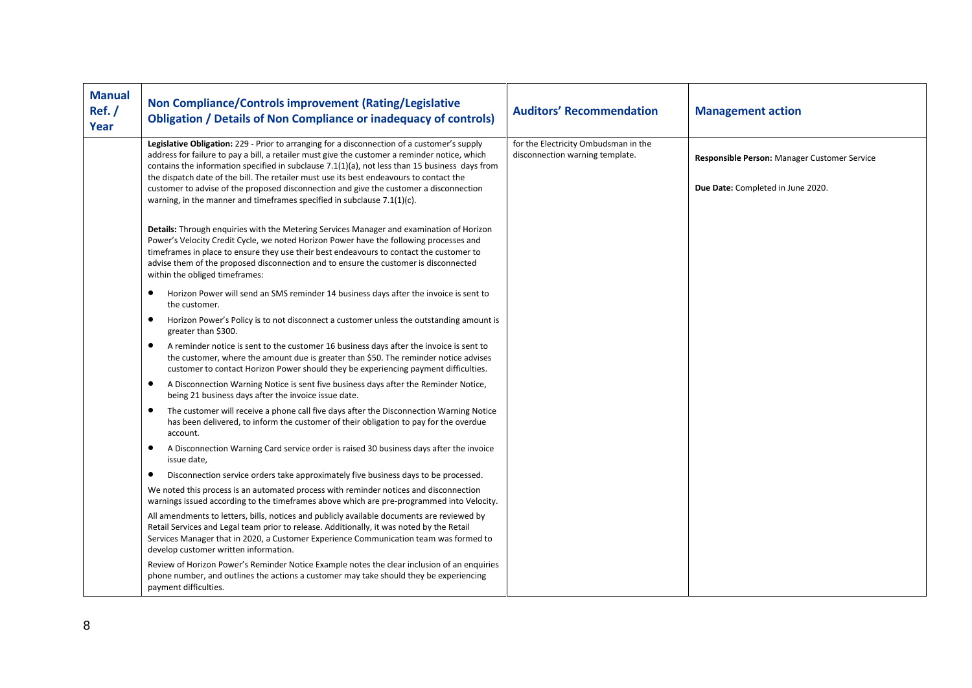| <b>Manual</b><br>Ref./<br>Year | Non Compliance/Controls improvement (Rating/Legislative<br><b>Obligation / Details of Non Compliance or inadequacy of controls)</b>                                                                                                                                                                                                                                                                                                                                                 | <b>Auditors' Recommendation</b>                                         | <b>Management action</b>                                                          |
|--------------------------------|-------------------------------------------------------------------------------------------------------------------------------------------------------------------------------------------------------------------------------------------------------------------------------------------------------------------------------------------------------------------------------------------------------------------------------------------------------------------------------------|-------------------------------------------------------------------------|-----------------------------------------------------------------------------------|
|                                | Legislative Obligation: 229 - Prior to arranging for a disconnection of a customer's supply<br>address for failure to pay a bill, a retailer must give the customer a reminder notice, which<br>contains the information specified in subclause 7.1(1)(a), not less than 15 business days from<br>the dispatch date of the bill. The retailer must use its best endeavours to contact the<br>customer to advise of the proposed disconnection and give the customer a disconnection | for the Electricity Ombudsman in the<br>disconnection warning template. | Responsible Person: Manager Customer Service<br>Due Date: Completed in June 2020. |
|                                | warning, in the manner and timeframes specified in subclause 7.1(1)(c).                                                                                                                                                                                                                                                                                                                                                                                                             |                                                                         |                                                                                   |
|                                | Details: Through enquiries with the Metering Services Manager and examination of Horizon<br>Power's Velocity Credit Cycle, we noted Horizon Power have the following processes and<br>timeframes in place to ensure they use their best endeavours to contact the customer to<br>advise them of the proposed disconnection and to ensure the customer is disconnected<br>within the obliged timeframes:                                                                             |                                                                         |                                                                                   |
|                                | Horizon Power will send an SMS reminder 14 business days after the invoice is sent to<br>$\bullet$<br>the customer.                                                                                                                                                                                                                                                                                                                                                                 |                                                                         |                                                                                   |
|                                | Horizon Power's Policy is to not disconnect a customer unless the outstanding amount is<br>$\bullet$<br>greater than \$300.                                                                                                                                                                                                                                                                                                                                                         |                                                                         |                                                                                   |
|                                | A reminder notice is sent to the customer 16 business days after the invoice is sent to<br>$\bullet$<br>the customer, where the amount due is greater than \$50. The reminder notice advises<br>customer to contact Horizon Power should they be experiencing payment difficulties.                                                                                                                                                                                                 |                                                                         |                                                                                   |
|                                | A Disconnection Warning Notice is sent five business days after the Reminder Notice,<br>$\bullet$<br>being 21 business days after the invoice issue date.                                                                                                                                                                                                                                                                                                                           |                                                                         |                                                                                   |
|                                | The customer will receive a phone call five days after the Disconnection Warning Notice<br>$\bullet$<br>has been delivered, to inform the customer of their obligation to pay for the overdue<br>account.                                                                                                                                                                                                                                                                           |                                                                         |                                                                                   |
|                                | ٠<br>A Disconnection Warning Card service order is raised 30 business days after the invoice<br>issue date,                                                                                                                                                                                                                                                                                                                                                                         |                                                                         |                                                                                   |
|                                | Disconnection service orders take approximately five business days to be processed.<br>٠                                                                                                                                                                                                                                                                                                                                                                                            |                                                                         |                                                                                   |
|                                | We noted this process is an automated process with reminder notices and disconnection<br>warnings issued according to the timeframes above which are pre-programmed into Velocity.                                                                                                                                                                                                                                                                                                  |                                                                         |                                                                                   |
|                                | All amendments to letters, bills, notices and publicly available documents are reviewed by<br>Retail Services and Legal team prior to release. Additionally, it was noted by the Retail<br>Services Manager that in 2020, a Customer Experience Communication team was formed to<br>develop customer written information.                                                                                                                                                           |                                                                         |                                                                                   |
|                                | Review of Horizon Power's Reminder Notice Example notes the clear inclusion of an enquiries<br>phone number, and outlines the actions a customer may take should they be experiencing<br>payment difficulties.                                                                                                                                                                                                                                                                      |                                                                         |                                                                                   |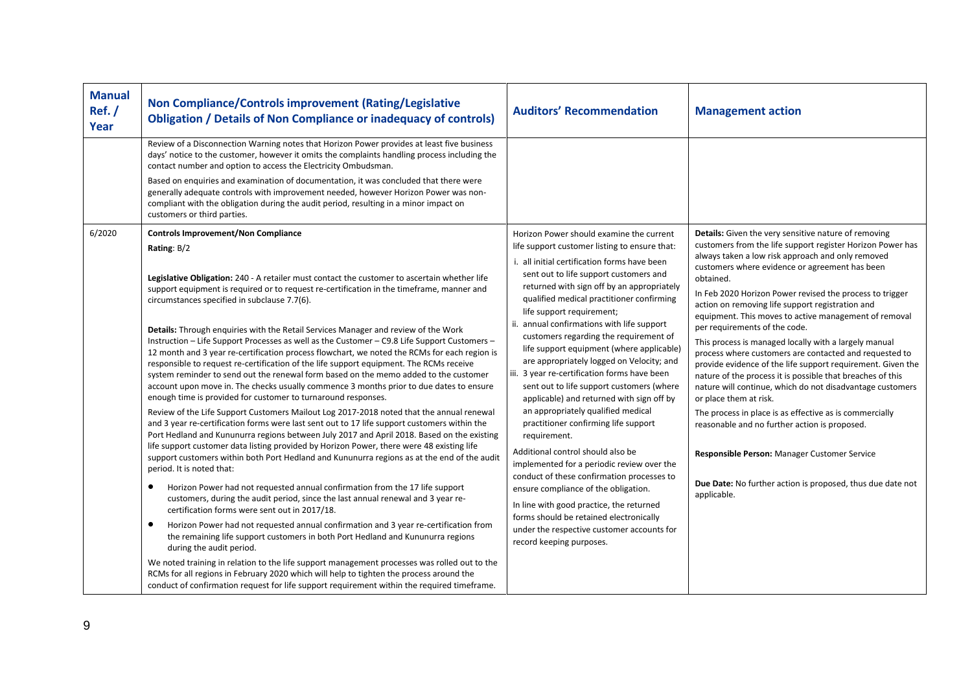| <b>Manual</b><br>Ref./<br>Year | Non Compliance/Controls improvement (Rating/Legislative<br><b>Obligation / Details of Non Compliance or inadequacy of controls)</b>                                                                                                                                                                                                                                                                                                                                                                                                                                                                                                                                                                                                                                                                                                                                                                                                                                                                                                                                                                                                                                                                                                                                                                                                                                                                                                                                                                                                                                                                                                                                                                                                                                                                                                                                                                                                                                                                                                                                                                                                                                                         | <b>Auditors' Recommendation</b>                                                                                                                                                                                                                                                                                                                                                                                                                                                                                                                                                                                                                                                                                                                                                                                                                                                                                                                                                                                                                                                 | <b>Management action</b>                                                                                                                                                                                                                                                                                                                                                                                                                                                                                                                                                                                                                                                                                                                                                                                                                                                                                                                                                                                                         |
|--------------------------------|---------------------------------------------------------------------------------------------------------------------------------------------------------------------------------------------------------------------------------------------------------------------------------------------------------------------------------------------------------------------------------------------------------------------------------------------------------------------------------------------------------------------------------------------------------------------------------------------------------------------------------------------------------------------------------------------------------------------------------------------------------------------------------------------------------------------------------------------------------------------------------------------------------------------------------------------------------------------------------------------------------------------------------------------------------------------------------------------------------------------------------------------------------------------------------------------------------------------------------------------------------------------------------------------------------------------------------------------------------------------------------------------------------------------------------------------------------------------------------------------------------------------------------------------------------------------------------------------------------------------------------------------------------------------------------------------------------------------------------------------------------------------------------------------------------------------------------------------------------------------------------------------------------------------------------------------------------------------------------------------------------------------------------------------------------------------------------------------------------------------------------------------------------------------------------------------|---------------------------------------------------------------------------------------------------------------------------------------------------------------------------------------------------------------------------------------------------------------------------------------------------------------------------------------------------------------------------------------------------------------------------------------------------------------------------------------------------------------------------------------------------------------------------------------------------------------------------------------------------------------------------------------------------------------------------------------------------------------------------------------------------------------------------------------------------------------------------------------------------------------------------------------------------------------------------------------------------------------------------------------------------------------------------------|----------------------------------------------------------------------------------------------------------------------------------------------------------------------------------------------------------------------------------------------------------------------------------------------------------------------------------------------------------------------------------------------------------------------------------------------------------------------------------------------------------------------------------------------------------------------------------------------------------------------------------------------------------------------------------------------------------------------------------------------------------------------------------------------------------------------------------------------------------------------------------------------------------------------------------------------------------------------------------------------------------------------------------|
|                                | Review of a Disconnection Warning notes that Horizon Power provides at least five business<br>days' notice to the customer, however it omits the complaints handling process including the<br>contact number and option to access the Electricity Ombudsman.<br>Based on enquiries and examination of documentation, it was concluded that there were<br>generally adequate controls with improvement needed, however Horizon Power was non-<br>compliant with the obligation during the audit period, resulting in a minor impact on<br>customers or third parties.                                                                                                                                                                                                                                                                                                                                                                                                                                                                                                                                                                                                                                                                                                                                                                                                                                                                                                                                                                                                                                                                                                                                                                                                                                                                                                                                                                                                                                                                                                                                                                                                                        |                                                                                                                                                                                                                                                                                                                                                                                                                                                                                                                                                                                                                                                                                                                                                                                                                                                                                                                                                                                                                                                                                 |                                                                                                                                                                                                                                                                                                                                                                                                                                                                                                                                                                                                                                                                                                                                                                                                                                                                                                                                                                                                                                  |
| 6/2020                         | <b>Controls Improvement/Non Compliance</b><br>Rating: $B/2$<br>Legislative Obligation: 240 - A retailer must contact the customer to ascertain whether life<br>support equipment is required or to request re-certification in the timeframe, manner and<br>circumstances specified in subclause 7.7(6).<br>Details: Through enquiries with the Retail Services Manager and review of the Work<br>Instruction - Life Support Processes as well as the Customer - C9.8 Life Support Customers -<br>12 month and 3 year re-certification process flowchart, we noted the RCMs for each region is<br>responsible to request re-certification of the life support equipment. The RCMs receive<br>system reminder to send out the renewal form based on the memo added to the customer<br>account upon move in. The checks usually commence 3 months prior to due dates to ensure<br>enough time is provided for customer to turnaround responses.<br>Review of the Life Support Customers Mailout Log 2017-2018 noted that the annual renewal<br>and 3 year re-certification forms were last sent out to 17 life support customers within the<br>Port Hedland and Kununurra regions between July 2017 and April 2018. Based on the existing<br>life support customer data listing provided by Horizon Power, there were 48 existing life<br>support customers within both Port Hedland and Kununurra regions as at the end of the audit<br>period. It is noted that:<br>Horizon Power had not requested annual confirmation from the 17 life support<br>٠<br>customers, during the audit period, since the last annual renewal and 3 year re-<br>certification forms were sent out in 2017/18.<br>Horizon Power had not requested annual confirmation and 3 year re-certification from<br>the remaining life support customers in both Port Hedland and Kununurra regions<br>during the audit period.<br>We noted training in relation to the life support management processes was rolled out to the<br>RCMs for all regions in February 2020 which will help to tighten the process around the<br>conduct of confirmation request for life support requirement within the required timeframe. | Horizon Power should examine the current<br>life support customer listing to ensure that:<br>i. all initial certification forms have been<br>sent out to life support customers and<br>returned with sign off by an appropriately<br>qualified medical practitioner confirming<br>life support requirement;<br>ii. annual confirmations with life support<br>customers regarding the requirement of<br>life support equipment (where applicable)<br>are appropriately logged on Velocity; and<br>iii. 3 year re-certification forms have been<br>sent out to life support customers (where<br>applicable) and returned with sign off by<br>an appropriately qualified medical<br>practitioner confirming life support<br>requirement.<br>Additional control should also be<br>implemented for a periodic review over the<br>conduct of these confirmation processes to<br>ensure compliance of the obligation.<br>In line with good practice, the returned<br>forms should be retained electronically<br>under the respective customer accounts for<br>record keeping purposes. | Details: Given the very sensitive nature of removing<br>customers from the life support register Horizon Power has<br>always taken a low risk approach and only removed<br>customers where evidence or agreement has been<br>obtained.<br>In Feb 2020 Horizon Power revised the process to trigger<br>action on removing life support registration and<br>equipment. This moves to active management of removal<br>per requirements of the code.<br>This process is managed locally with a largely manual<br>process where customers are contacted and requested to<br>provide evidence of the life support requirement. Given the<br>nature of the process it is possible that breaches of this<br>nature will continue, which do not disadvantage customers<br>or place them at risk.<br>The process in place is as effective as is commercially<br>reasonable and no further action is proposed.<br>Responsible Person: Manager Customer Service<br>Due Date: No further action is proposed, thus due date not<br>applicable. |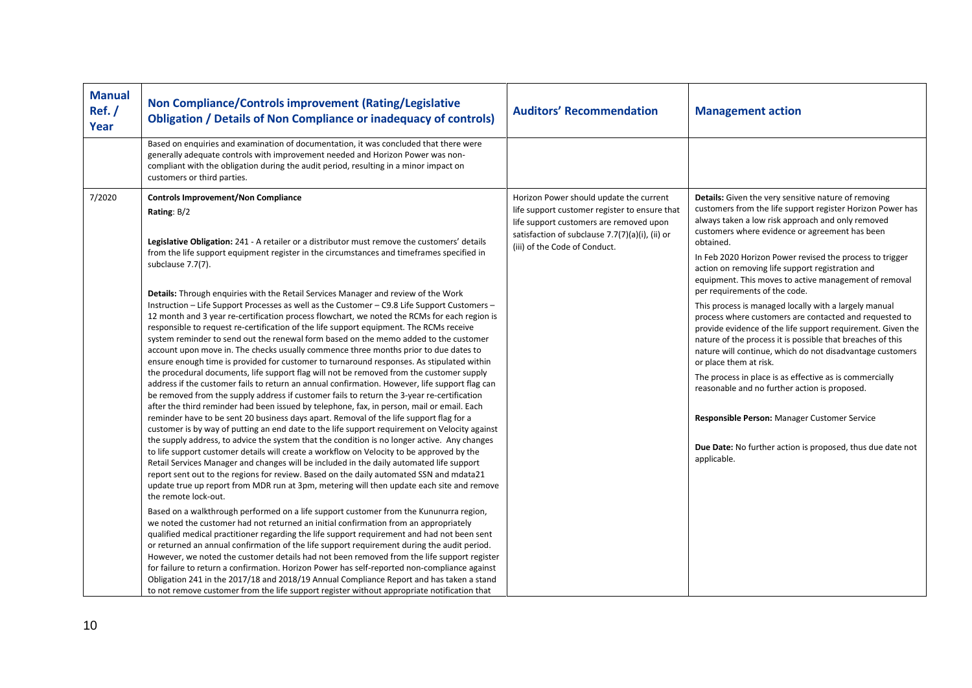| Based on enquiries and examination of documentation, it was concluded that there were<br>generally adequate controls with improvement needed and Horizon Power was non-<br>compliant with the obligation during the audit period, resulting in a minor impact on<br>customers or third parties.<br>7/2020<br>Details: Given the very sensitive nature of removing<br><b>Controls Improvement/Non Compliance</b><br>Horizon Power should update the current<br>customers from the life support register Horizon Power has<br>life support customer register to ensure that<br>Rating: $B/2$<br>always taken a low risk approach and only removed<br>life support customers are removed upon<br>customers where evidence or agreement has been<br>satisfaction of subclause 7.7(7)(a)(i), (ii) or<br>Legislative Obligation: 241 - A retailer or a distributor must remove the customers' details<br>obtained.<br>(iii) of the Code of Conduct.<br>from the life support equipment register in the circumstances and timeframes specified in<br>In Feb 2020 Horizon Power revised the process to trigger<br>subclause 7.7(7).<br>action on removing life support registration and<br>equipment. This moves to active management of removal<br>per requirements of the code.<br>Details: Through enquiries with the Retail Services Manager and review of the Work<br>Instruction – Life Support Processes as well as the Customer – C9.8 Life Support Customers –<br>This process is managed locally with a largely manual<br>12 month and 3 year re-certification process flowchart, we noted the RCMs for each region is<br>process where customers are contacted and requested to<br>responsible to request re-certification of the life support equipment. The RCMs receive<br>system reminder to send out the renewal form based on the memo added to the customer<br>nature of the process it is possible that breaches of this<br>account upon move in. The checks usually commence three months prior to due dates to<br>nature will continue, which do not disadvantage customers<br>ensure enough time is provided for customer to turnaround responses. As stipulated within<br>or place them at risk.<br>the procedural documents, life support flag will not be removed from the customer supply<br>The process in place is as effective as is commercially<br>address if the customer fails to return an annual confirmation. However, life support flag can<br>reasonable and no further action is proposed.<br>be removed from the supply address if customer fails to return the 3-year re-certification<br>after the third reminder had been issued by telephone, fax, in person, mail or email. Each<br>reminder have to be sent 20 business days apart. Removal of the life support flag for a<br>Responsible Person: Manager Customer Service<br>customer is by way of putting an end date to the life support requirement on Velocity against<br>the supply address, to advice the system that the condition is no longer active. Any changes<br>Due Date: No further action is proposed, thus due date not<br>to life support customer details will create a workflow on Velocity to be approved by the<br>applicable.<br>Retail Services Manager and changes will be included in the daily automated life support<br>report sent out to the regions for review. Based on the daily automated SSN and mdata21<br>update true up report from MDR run at 3pm, metering will then update each site and remove<br>the remote lock-out.<br>Based on a walkthrough performed on a life support customer from the Kununurra region,<br>we noted the customer had not returned an initial confirmation from an appropriately<br>qualified medical practitioner regarding the life support requirement and had not been sent<br>or returned an annual confirmation of the life support requirement during the audit period.<br>However, we noted the customer details had not been removed from the life support register | <b>Manual</b><br>Ref./<br>Year | Non Compliance/Controls improvement (Rating/Legislative<br><b>Obligation / Details of Non Compliance or inadequacy of controls)</b> | <b>Auditors' Recommendation</b> | <b>Management action</b>                                    |
|---------------------------------------------------------------------------------------------------------------------------------------------------------------------------------------------------------------------------------------------------------------------------------------------------------------------------------------------------------------------------------------------------------------------------------------------------------------------------------------------------------------------------------------------------------------------------------------------------------------------------------------------------------------------------------------------------------------------------------------------------------------------------------------------------------------------------------------------------------------------------------------------------------------------------------------------------------------------------------------------------------------------------------------------------------------------------------------------------------------------------------------------------------------------------------------------------------------------------------------------------------------------------------------------------------------------------------------------------------------------------------------------------------------------------------------------------------------------------------------------------------------------------------------------------------------------------------------------------------------------------------------------------------------------------------------------------------------------------------------------------------------------------------------------------------------------------------------------------------------------------------------------------------------------------------------------------------------------------------------------------------------------------------------------------------------------------------------------------------------------------------------------------------------------------------------------------------------------------------------------------------------------------------------------------------------------------------------------------------------------------------------------------------------------------------------------------------------------------------------------------------------------------------------------------------------------------------------------------------------------------------------------------------------------------------------------------------------------------------------------------------------------------------------------------------------------------------------------------------------------------------------------------------------------------------------------------------------------------------------------------------------------------------------------------------------------------------------------------------------------------------------------------------------------------------------------------------------------------------------------------------------------------------------------------------------------------------------------------------------------------------------------------------------------------------------------------------------------------------------------------------------------------------------------------------------------------------------------------------------------------------------------------------------------------------------------------------------------------------------------------------------------------------------------------------------------------------------------------------------------------------------------------------------------------------------------------------------------------------------------------------------------------------------|--------------------------------|-------------------------------------------------------------------------------------------------------------------------------------|---------------------------------|-------------------------------------------------------------|
|                                                                                                                                                                                                                                                                                                                                                                                                                                                                                                                                                                                                                                                                                                                                                                                                                                                                                                                                                                                                                                                                                                                                                                                                                                                                                                                                                                                                                                                                                                                                                                                                                                                                                                                                                                                                                                                                                                                                                                                                                                                                                                                                                                                                                                                                                                                                                                                                                                                                                                                                                                                                                                                                                                                                                                                                                                                                                                                                                                                                                                                                                                                                                                                                                                                                                                                                                                                                                                                                                                                                                                                                                                                                                                                                                                                                                                                                                                                                                                                                                                       |                                |                                                                                                                                     |                                 |                                                             |
| Obligation 241 in the 2017/18 and 2018/19 Annual Compliance Report and has taken a stand<br>to not remove customer from the life support register without appropriate notification that                                                                                                                                                                                                                                                                                                                                                                                                                                                                                                                                                                                                                                                                                                                                                                                                                                                                                                                                                                                                                                                                                                                                                                                                                                                                                                                                                                                                                                                                                                                                                                                                                                                                                                                                                                                                                                                                                                                                                                                                                                                                                                                                                                                                                                                                                                                                                                                                                                                                                                                                                                                                                                                                                                                                                                                                                                                                                                                                                                                                                                                                                                                                                                                                                                                                                                                                                                                                                                                                                                                                                                                                                                                                                                                                                                                                                                               |                                | for failure to return a confirmation. Horizon Power has self-reported non-compliance against                                        |                                 | provide evidence of the life support requirement. Given the |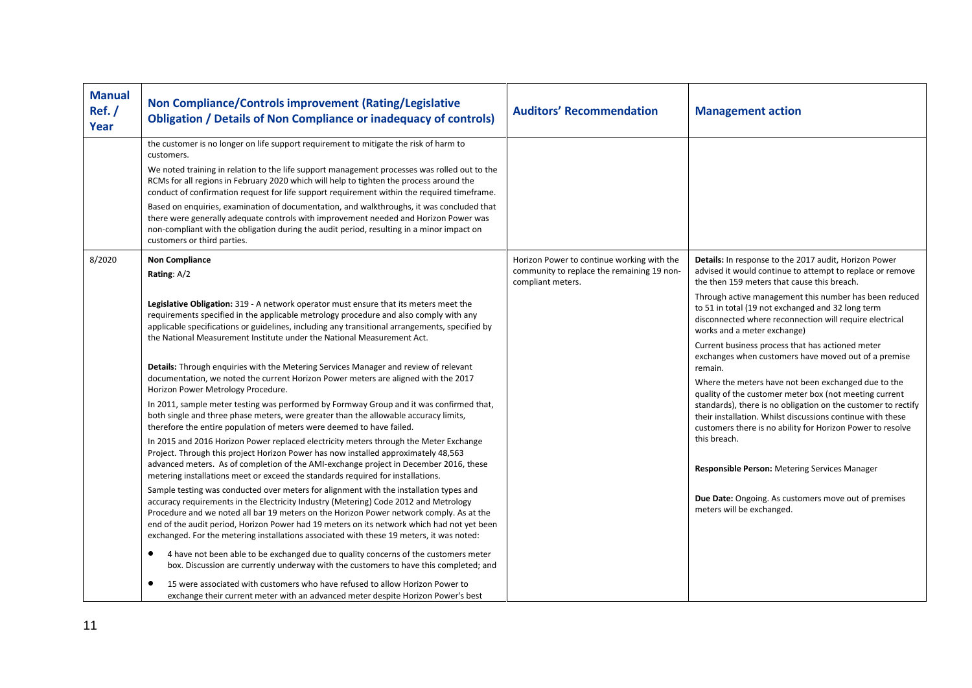| <b>Manual</b><br>Ref./<br>Year | Non Compliance/Controls improvement (Rating/Legislative<br><b>Obligation / Details of Non Compliance or inadequacy of controls)</b>                                                                                                                                                                                                                                                                                                                                                                                                                                                                                                                                                                                                                                                                                                                                                                                                                                                                                                                                                                                                                                                                                                                                                                                                                                                                                                                                                                                                                                                                                                                                                                                                                                                                                                                                                                                                                                                                                                                                                                  | <b>Auditors' Recommendation</b>                                                                               | <b>Management action</b>                                                                                                                                                                                                                                                                                                                                                                                                                                                                                                                                                                                                                                                                                                                                                                                                                                                                                                                                              |
|--------------------------------|------------------------------------------------------------------------------------------------------------------------------------------------------------------------------------------------------------------------------------------------------------------------------------------------------------------------------------------------------------------------------------------------------------------------------------------------------------------------------------------------------------------------------------------------------------------------------------------------------------------------------------------------------------------------------------------------------------------------------------------------------------------------------------------------------------------------------------------------------------------------------------------------------------------------------------------------------------------------------------------------------------------------------------------------------------------------------------------------------------------------------------------------------------------------------------------------------------------------------------------------------------------------------------------------------------------------------------------------------------------------------------------------------------------------------------------------------------------------------------------------------------------------------------------------------------------------------------------------------------------------------------------------------------------------------------------------------------------------------------------------------------------------------------------------------------------------------------------------------------------------------------------------------------------------------------------------------------------------------------------------------------------------------------------------------------------------------------------------------|---------------------------------------------------------------------------------------------------------------|-----------------------------------------------------------------------------------------------------------------------------------------------------------------------------------------------------------------------------------------------------------------------------------------------------------------------------------------------------------------------------------------------------------------------------------------------------------------------------------------------------------------------------------------------------------------------------------------------------------------------------------------------------------------------------------------------------------------------------------------------------------------------------------------------------------------------------------------------------------------------------------------------------------------------------------------------------------------------|
|                                | the customer is no longer on life support requirement to mitigate the risk of harm to<br>customers.<br>We noted training in relation to the life support management processes was rolled out to the<br>RCMs for all regions in February 2020 which will help to tighten the process around the<br>conduct of confirmation request for life support requirement within the required timeframe.<br>Based on enquiries, examination of documentation, and walkthroughs, it was concluded that<br>there were generally adequate controls with improvement needed and Horizon Power was<br>non-compliant with the obligation during the audit period, resulting in a minor impact on<br>customers or third parties.                                                                                                                                                                                                                                                                                                                                                                                                                                                                                                                                                                                                                                                                                                                                                                                                                                                                                                                                                                                                                                                                                                                                                                                                                                                                                                                                                                                       |                                                                                                               |                                                                                                                                                                                                                                                                                                                                                                                                                                                                                                                                                                                                                                                                                                                                                                                                                                                                                                                                                                       |
| 8/2020                         | <b>Non Compliance</b><br>Rating: $A/2$<br>Legislative Obligation: 319 - A network operator must ensure that its meters meet the<br>requirements specified in the applicable metrology procedure and also comply with any<br>applicable specifications or guidelines, including any transitional arrangements, specified by<br>the National Measurement Institute under the National Measurement Act.<br>Details: Through enquiries with the Metering Services Manager and review of relevant<br>documentation, we noted the current Horizon Power meters are aligned with the 2017<br>Horizon Power Metrology Procedure.<br>In 2011, sample meter testing was performed by Formway Group and it was confirmed that,<br>both single and three phase meters, were greater than the allowable accuracy limits,<br>therefore the entire population of meters were deemed to have failed.<br>In 2015 and 2016 Horizon Power replaced electricity meters through the Meter Exchange<br>Project. Through this project Horizon Power has now installed approximately 48,563<br>advanced meters. As of completion of the AMI-exchange project in December 2016, these<br>metering installations meet or exceed the standards required for installations.<br>Sample testing was conducted over meters for alignment with the installation types and<br>accuracy requirements in the Electricity Industry (Metering) Code 2012 and Metrology<br>Procedure and we noted all bar 19 meters on the Horizon Power network comply. As at the<br>end of the audit period, Horizon Power had 19 meters on its network which had not yet been<br>exchanged. For the metering installations associated with these 19 meters, it was noted:<br>4 have not been able to be exchanged due to quality concerns of the customers meter<br>$\bullet$<br>box. Discussion are currently underway with the customers to have this completed; and<br>$\bullet$<br>15 were associated with customers who have refused to allow Horizon Power to<br>exchange their current meter with an advanced meter despite Horizon Power's best | Horizon Power to continue working with the<br>community to replace the remaining 19 non-<br>compliant meters. | Details: In response to the 2017 audit, Horizon Power<br>advised it would continue to attempt to replace or remove<br>the then 159 meters that cause this breach.<br>Through active management this number has been reduced<br>to 51 in total (19 not exchanged and 32 long term<br>disconnected where reconnection will require electrical<br>works and a meter exchange)<br>Current business process that has actioned meter<br>exchanges when customers have moved out of a premise<br>remain.<br>Where the meters have not been exchanged due to the<br>quality of the customer meter box (not meeting current<br>standards), there is no obligation on the customer to rectify<br>their installation. Whilst discussions continue with these<br>customers there is no ability for Horizon Power to resolve<br>this breach.<br>Responsible Person: Metering Services Manager<br>Due Date: Ongoing. As customers move out of premises<br>meters will be exchanged. |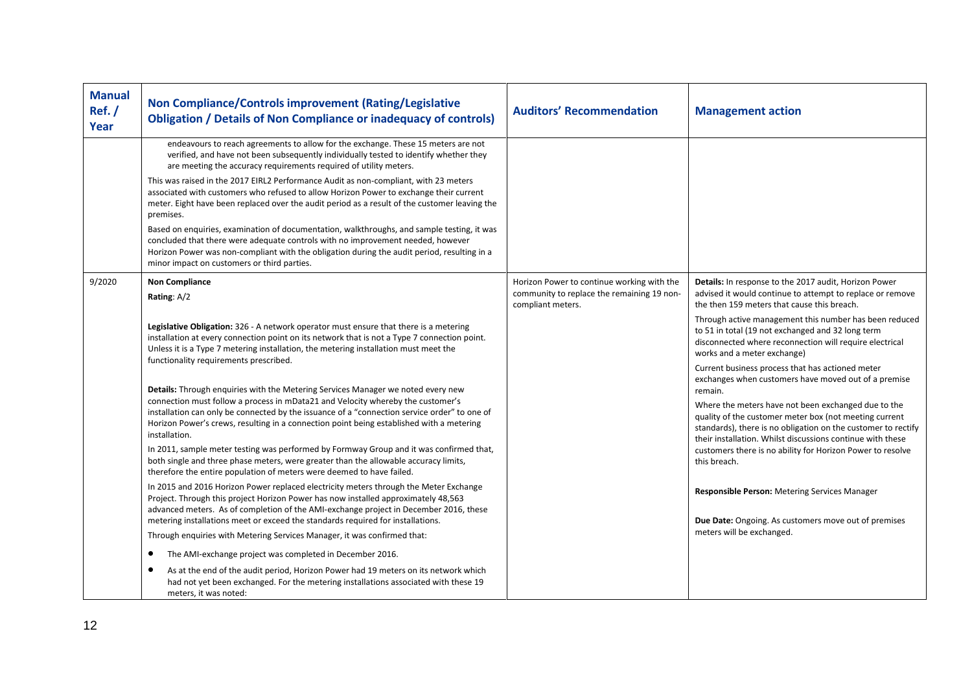| <b>Manual</b><br>Ref./<br>Year | Non Compliance/Controls improvement (Rating/Legislative<br><b>Obligation / Details of Non Compliance or inadequacy of controls)</b>                                                                                                                                                                                                                     | <b>Auditors' Recommendation</b>                                 | <b>Management action</b>                                                                                                                                                                                                                     |
|--------------------------------|---------------------------------------------------------------------------------------------------------------------------------------------------------------------------------------------------------------------------------------------------------------------------------------------------------------------------------------------------------|-----------------------------------------------------------------|----------------------------------------------------------------------------------------------------------------------------------------------------------------------------------------------------------------------------------------------|
|                                | endeavours to reach agreements to allow for the exchange. These 15 meters are not<br>verified, and have not been subsequently individually tested to identify whether they<br>are meeting the accuracy requirements required of utility meters.                                                                                                         |                                                                 |                                                                                                                                                                                                                                              |
|                                | This was raised in the 2017 EIRL2 Performance Audit as non-compliant, with 23 meters<br>associated with customers who refused to allow Horizon Power to exchange their current<br>meter. Eight have been replaced over the audit period as a result of the customer leaving the<br>premises.                                                            |                                                                 |                                                                                                                                                                                                                                              |
|                                | Based on enquiries, examination of documentation, walkthroughs, and sample testing, it was<br>concluded that there were adequate controls with no improvement needed, however<br>Horizon Power was non-compliant with the obligation during the audit period, resulting in a<br>minor impact on customers or third parties.                             |                                                                 |                                                                                                                                                                                                                                              |
| 9/2020                         | <b>Non Compliance</b>                                                                                                                                                                                                                                                                                                                                   | Horizon Power to continue working with the                      | Details: In response to the 2017 audit, Horizon Power                                                                                                                                                                                        |
|                                | Rating: $A/2$                                                                                                                                                                                                                                                                                                                                           | community to replace the remaining 19 non-<br>compliant meters. | advised it would continue to attempt to replace or remove<br>the then 159 meters that cause this breach.                                                                                                                                     |
|                                | Legislative Obligation: 326 - A network operator must ensure that there is a metering<br>installation at every connection point on its network that is not a Type 7 connection point.<br>Unless it is a Type 7 metering installation, the metering installation must meet the<br>functionality requirements prescribed.                                 |                                                                 | Through active management this number has been reduced<br>to 51 in total (19 not exchanged and 32 long term<br>disconnected where reconnection will require electrical<br>works and a meter exchange)                                        |
|                                | Details: Through enquiries with the Metering Services Manager we noted every new                                                                                                                                                                                                                                                                        |                                                                 | Current business process that has actioned meter<br>exchanges when customers have moved out of a premise<br>remain.                                                                                                                          |
|                                | connection must follow a process in mData21 and Velocity whereby the customer's<br>installation can only be connected by the issuance of a "connection service order" to one of<br>Horizon Power's crews, resulting in a connection point being established with a metering<br>installation.                                                            |                                                                 | Where the meters have not been exchanged due to the<br>quality of the customer meter box (not meeting current<br>standards), there is no obligation on the customer to rectify<br>their installation. Whilst discussions continue with these |
|                                | In 2011, sample meter testing was performed by Formway Group and it was confirmed that,<br>both single and three phase meters, were greater than the allowable accuracy limits,<br>therefore the entire population of meters were deemed to have failed.                                                                                                |                                                                 | customers there is no ability for Horizon Power to resolve<br>this breach.                                                                                                                                                                   |
|                                | In 2015 and 2016 Horizon Power replaced electricity meters through the Meter Exchange<br>Project. Through this project Horizon Power has now installed approximately 48,563<br>advanced meters. As of completion of the AMI-exchange project in December 2016, these<br>metering installations meet or exceed the standards required for installations. |                                                                 | Responsible Person: Metering Services Manager<br>Due Date: Ongoing. As customers move out of premises                                                                                                                                        |
|                                | Through enquiries with Metering Services Manager, it was confirmed that:                                                                                                                                                                                                                                                                                |                                                                 | meters will be exchanged.                                                                                                                                                                                                                    |
|                                | The AMI-exchange project was completed in December 2016.<br>٠                                                                                                                                                                                                                                                                                           |                                                                 |                                                                                                                                                                                                                                              |
|                                | As at the end of the audit period, Horizon Power had 19 meters on its network which<br>had not yet been exchanged. For the metering installations associated with these 19<br>meters, it was noted:                                                                                                                                                     |                                                                 |                                                                                                                                                                                                                                              |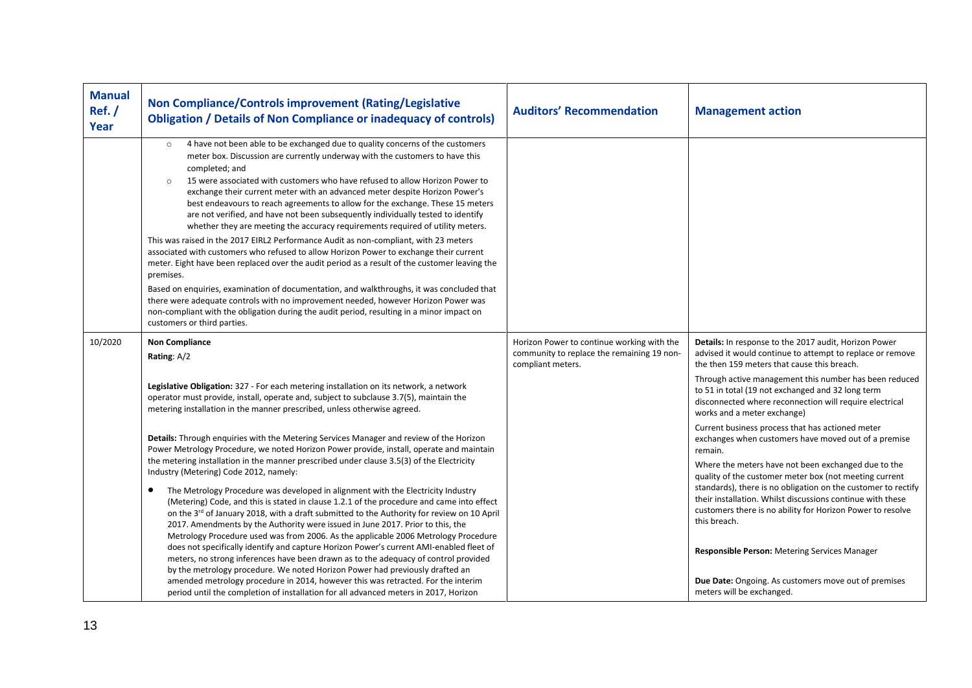| <b>Manual</b><br>Ref./<br>Year | Non Compliance/Controls improvement (Rating/Legislative<br><b>Obligation / Details of Non Compliance or inadequacy of controls)</b>                                                                                                                                                                                                                                                                                                                                                                                                                                                                                                                                                                                                                                                                                                                                                                                                                                                                                                                                                                                                                                                                                                         | <b>Auditors' Recommendation</b>                                                                               | <b>Management action</b>                                                                                                                                                                                                                                                                                                                                                    |
|--------------------------------|---------------------------------------------------------------------------------------------------------------------------------------------------------------------------------------------------------------------------------------------------------------------------------------------------------------------------------------------------------------------------------------------------------------------------------------------------------------------------------------------------------------------------------------------------------------------------------------------------------------------------------------------------------------------------------------------------------------------------------------------------------------------------------------------------------------------------------------------------------------------------------------------------------------------------------------------------------------------------------------------------------------------------------------------------------------------------------------------------------------------------------------------------------------------------------------------------------------------------------------------|---------------------------------------------------------------------------------------------------------------|-----------------------------------------------------------------------------------------------------------------------------------------------------------------------------------------------------------------------------------------------------------------------------------------------------------------------------------------------------------------------------|
|                                | 4 have not been able to be exchanged due to quality concerns of the customers<br>$\circ$<br>meter box. Discussion are currently underway with the customers to have this<br>completed; and<br>15 were associated with customers who have refused to allow Horizon Power to<br>$\circ$<br>exchange their current meter with an advanced meter despite Horizon Power's<br>best endeavours to reach agreements to allow for the exchange. These 15 meters<br>are not verified, and have not been subsequently individually tested to identify<br>whether they are meeting the accuracy requirements required of utility meters.<br>This was raised in the 2017 EIRL2 Performance Audit as non-compliant, with 23 meters<br>associated with customers who refused to allow Horizon Power to exchange their current<br>meter. Eight have been replaced over the audit period as a result of the customer leaving the<br>premises.<br>Based on enquiries, examination of documentation, and walkthroughs, it was concluded that<br>there were adequate controls with no improvement needed, however Horizon Power was<br>non-compliant with the obligation during the audit period, resulting in a minor impact on<br>customers or third parties. |                                                                                                               |                                                                                                                                                                                                                                                                                                                                                                             |
| 10/2020                        | <b>Non Compliance</b><br>Rating: A/2                                                                                                                                                                                                                                                                                                                                                                                                                                                                                                                                                                                                                                                                                                                                                                                                                                                                                                                                                                                                                                                                                                                                                                                                        | Horizon Power to continue working with the<br>community to replace the remaining 19 non-<br>compliant meters. | Details: In response to the 2017 audit, Horizon Power<br>advised it would continue to attempt to replace or remove<br>the then 159 meters that cause this breach.                                                                                                                                                                                                           |
|                                | Legislative Obligation: 327 - For each metering installation on its network, a network<br>operator must provide, install, operate and, subject to subclause 3.7(5), maintain the<br>metering installation in the manner prescribed, unless otherwise agreed.                                                                                                                                                                                                                                                                                                                                                                                                                                                                                                                                                                                                                                                                                                                                                                                                                                                                                                                                                                                |                                                                                                               | Through active management this number has been reduced<br>to 51 in total (19 not exchanged and 32 long term<br>disconnected where reconnection will require electrical<br>works and a meter exchange)                                                                                                                                                                       |
|                                | Details: Through enquiries with the Metering Services Manager and review of the Horizon<br>Power Metrology Procedure, we noted Horizon Power provide, install, operate and maintain                                                                                                                                                                                                                                                                                                                                                                                                                                                                                                                                                                                                                                                                                                                                                                                                                                                                                                                                                                                                                                                         |                                                                                                               | Current business process that has actioned meter<br>exchanges when customers have moved out of a premise<br>remain.                                                                                                                                                                                                                                                         |
|                                | the metering installation in the manner prescribed under clause 3.5(3) of the Electricity<br>Industry (Metering) Code 2012, namely:<br>The Metrology Procedure was developed in alignment with the Electricity Industry<br>$\bullet$<br>(Metering) Code, and this is stated in clause 1.2.1 of the procedure and came into effect<br>on the 3 <sup>rd</sup> of January 2018, with a draft submitted to the Authority for review on 10 April<br>2017. Amendments by the Authority were issued in June 2017. Prior to this, the<br>Metrology Procedure used was from 2006. As the applicable 2006 Metrology Procedure<br>does not specifically identify and capture Horizon Power's current AMI-enabled fleet of<br>meters, no strong inferences have been drawn as to the adequacy of control provided                                                                                                                                                                                                                                                                                                                                                                                                                                       |                                                                                                               | Where the meters have not been exchanged due to the<br>quality of the customer meter box (not meeting current<br>standards), there is no obligation on the customer to rectify<br>their installation. Whilst discussions continue with these<br>customers there is no ability for Horizon Power to resolve<br>this breach.<br>Responsible Person: Metering Services Manager |
|                                | by the metrology procedure. We noted Horizon Power had previously drafted an<br>amended metrology procedure in 2014, however this was retracted. For the interim<br>period until the completion of installation for all advanced meters in 2017, Horizon                                                                                                                                                                                                                                                                                                                                                                                                                                                                                                                                                                                                                                                                                                                                                                                                                                                                                                                                                                                    |                                                                                                               | Due Date: Ongoing. As customers move out of premises<br>meters will be exchanged.                                                                                                                                                                                                                                                                                           |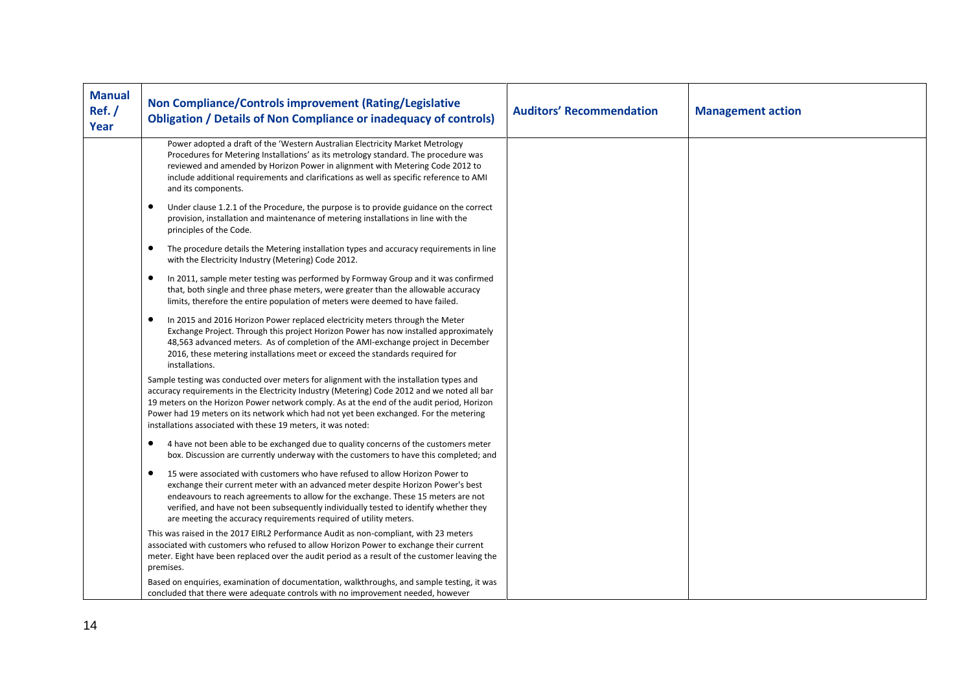| <b>Manual</b><br>Ref./<br><b>Year</b> | Non Compliance/Controls improvement (Rating/Legislative<br><b>Obligation / Details of Non Compliance or inadequacy of controls)</b>                                                                                                                                                                                                                                                                                                         | <b>Auditors' Recommendation</b> | <b>Management action</b> |
|---------------------------------------|---------------------------------------------------------------------------------------------------------------------------------------------------------------------------------------------------------------------------------------------------------------------------------------------------------------------------------------------------------------------------------------------------------------------------------------------|---------------------------------|--------------------------|
|                                       | Power adopted a draft of the 'Western Australian Electricity Market Metrology<br>Procedures for Metering Installations' as its metrology standard. The procedure was<br>reviewed and amended by Horizon Power in alignment with Metering Code 2012 to<br>include additional requirements and clarifications as well as specific reference to AMI<br>and its components.                                                                     |                                 |                          |
|                                       | Under clause 1.2.1 of the Procedure, the purpose is to provide guidance on the correct<br>٠<br>provision, installation and maintenance of metering installations in line with the<br>principles of the Code.                                                                                                                                                                                                                                |                                 |                          |
|                                       | $\bullet$<br>The procedure details the Metering installation types and accuracy requirements in line<br>with the Electricity Industry (Metering) Code 2012.                                                                                                                                                                                                                                                                                 |                                 |                          |
|                                       | In 2011, sample meter testing was performed by Formway Group and it was confirmed<br>$\bullet$<br>that, both single and three phase meters, were greater than the allowable accuracy<br>limits, therefore the entire population of meters were deemed to have failed.                                                                                                                                                                       |                                 |                          |
|                                       | In 2015 and 2016 Horizon Power replaced electricity meters through the Meter<br>$\bullet$<br>Exchange Project. Through this project Horizon Power has now installed approximately<br>48,563 advanced meters. As of completion of the AMI-exchange project in December<br>2016, these metering installations meet or exceed the standards required for<br>installations.                                                                     |                                 |                          |
|                                       | Sample testing was conducted over meters for alignment with the installation types and<br>accuracy requirements in the Electricity Industry (Metering) Code 2012 and we noted all bar<br>19 meters on the Horizon Power network comply. As at the end of the audit period, Horizon<br>Power had 19 meters on its network which had not yet been exchanged. For the metering<br>installations associated with these 19 meters, it was noted: |                                 |                          |
|                                       | 4 have not been able to be exchanged due to quality concerns of the customers meter<br>$\bullet$<br>box. Discussion are currently underway with the customers to have this completed; and                                                                                                                                                                                                                                                   |                                 |                          |
|                                       | 15 were associated with customers who have refused to allow Horizon Power to<br>٠<br>exchange their current meter with an advanced meter despite Horizon Power's best<br>endeavours to reach agreements to allow for the exchange. These 15 meters are not<br>verified, and have not been subsequently individually tested to identify whether they<br>are meeting the accuracy requirements required of utility meters.                    |                                 |                          |
|                                       | This was raised in the 2017 EIRL2 Performance Audit as non-compliant, with 23 meters<br>associated with customers who refused to allow Horizon Power to exchange their current<br>meter. Eight have been replaced over the audit period as a result of the customer leaving the<br>premises.                                                                                                                                                |                                 |                          |
|                                       | Based on enquiries, examination of documentation, walkthroughs, and sample testing, it was<br>concluded that there were adequate controls with no improvement needed, however                                                                                                                                                                                                                                                               |                                 |                          |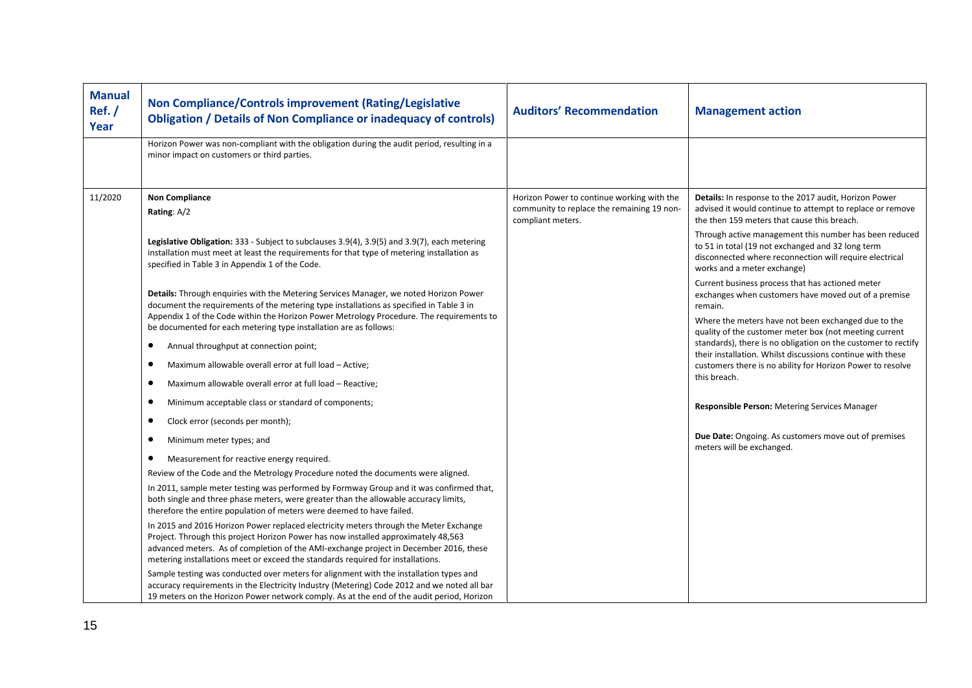| <b>Manual</b><br>Ref./<br>Year | Non Compliance/Controls improvement (Rating/Legislative<br><b>Obligation / Details of Non Compliance or inadequacy of controls)</b>                                                                                                                                                                                                                                                                                                                                                                                                                                                                                                                                                                                                                                                                                                                                                                                                                                                                                                                                                                                                                                                                                                                                                                                                   | <b>Auditors' Recommendation</b>                                                                               | <b>Management action</b>                                                                                                                                                                                                                                                                                                                                                                                                                                                                                                                                                                                                                                                                                                                                                                                                                                                                                                                                              |
|--------------------------------|---------------------------------------------------------------------------------------------------------------------------------------------------------------------------------------------------------------------------------------------------------------------------------------------------------------------------------------------------------------------------------------------------------------------------------------------------------------------------------------------------------------------------------------------------------------------------------------------------------------------------------------------------------------------------------------------------------------------------------------------------------------------------------------------------------------------------------------------------------------------------------------------------------------------------------------------------------------------------------------------------------------------------------------------------------------------------------------------------------------------------------------------------------------------------------------------------------------------------------------------------------------------------------------------------------------------------------------|---------------------------------------------------------------------------------------------------------------|-----------------------------------------------------------------------------------------------------------------------------------------------------------------------------------------------------------------------------------------------------------------------------------------------------------------------------------------------------------------------------------------------------------------------------------------------------------------------------------------------------------------------------------------------------------------------------------------------------------------------------------------------------------------------------------------------------------------------------------------------------------------------------------------------------------------------------------------------------------------------------------------------------------------------------------------------------------------------|
|                                | Horizon Power was non-compliant with the obligation during the audit period, resulting in a<br>minor impact on customers or third parties.                                                                                                                                                                                                                                                                                                                                                                                                                                                                                                                                                                                                                                                                                                                                                                                                                                                                                                                                                                                                                                                                                                                                                                                            |                                                                                                               |                                                                                                                                                                                                                                                                                                                                                                                                                                                                                                                                                                                                                                                                                                                                                                                                                                                                                                                                                                       |
| 11/2020                        | <b>Non Compliance</b><br>Rating: $A/2$<br>Legislative Obligation: 333 - Subject to subclauses 3.9(4), 3.9(5) and 3.9(7), each metering<br>installation must meet at least the requirements for that type of metering installation as<br>specified in Table 3 in Appendix 1 of the Code.<br>Details: Through enquiries with the Metering Services Manager, we noted Horizon Power<br>document the requirements of the metering type installations as specified in Table 3 in<br>Appendix 1 of the Code within the Horizon Power Metrology Procedure. The requirements to<br>be documented for each metering type installation are as follows:<br>Annual throughput at connection point;<br>$\bullet$<br>Maximum allowable overall error at full load - Active;<br>$\bullet$<br>Maximum allowable overall error at full load - Reactive;<br>$\bullet$<br>Minimum acceptable class or standard of components;<br>$\bullet$<br>Clock error (seconds per month);<br>$\bullet$<br>Minimum meter types; and<br>Measurement for reactive energy required.<br>$\bullet$<br>Review of the Code and the Metrology Procedure noted the documents were aligned.<br>In 2011, sample meter testing was performed by Formway Group and it was confirmed that,<br>both single and three phase meters, were greater than the allowable accuracy limits, | Horizon Power to continue working with the<br>community to replace the remaining 19 non-<br>compliant meters. | Details: In response to the 2017 audit, Horizon Power<br>advised it would continue to attempt to replace or remove<br>the then 159 meters that cause this breach.<br>Through active management this number has been reduced<br>to 51 in total (19 not exchanged and 32 long term<br>disconnected where reconnection will require electrical<br>works and a meter exchange)<br>Current business process that has actioned meter<br>exchanges when customers have moved out of a premise<br>remain.<br>Where the meters have not been exchanged due to the<br>quality of the customer meter box (not meeting current<br>standards), there is no obligation on the customer to rectify<br>their installation. Whilst discussions continue with these<br>customers there is no ability for Horizon Power to resolve<br>this breach.<br>Responsible Person: Metering Services Manager<br>Due Date: Ongoing. As customers move out of premises<br>meters will be exchanged. |
|                                | therefore the entire population of meters were deemed to have failed.<br>In 2015 and 2016 Horizon Power replaced electricity meters through the Meter Exchange<br>Project. Through this project Horizon Power has now installed approximately 48,563<br>advanced meters. As of completion of the AMI-exchange project in December 2016, these<br>metering installations meet or exceed the standards required for installations.<br>Sample testing was conducted over meters for alignment with the installation types and<br>accuracy requirements in the Electricity Industry (Metering) Code 2012 and we noted all bar<br>19 meters on the Horizon Power network comply. As at the end of the audit period, Horizon                                                                                                                                                                                                                                                                                                                                                                                                                                                                                                                                                                                                                |                                                                                                               |                                                                                                                                                                                                                                                                                                                                                                                                                                                                                                                                                                                                                                                                                                                                                                                                                                                                                                                                                                       |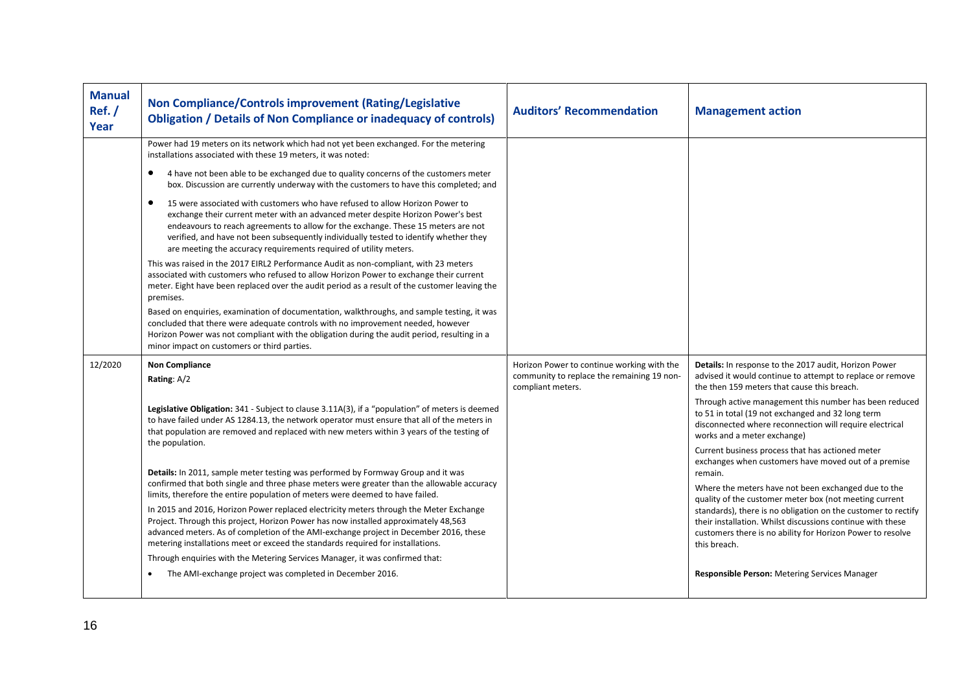| <b>Manual</b><br>Ref./<br>Year | Non Compliance/Controls improvement (Rating/Legislative<br><b>Obligation / Details of Non Compliance or inadequacy of controls)</b>                                                                                                                                                                                                                                                                                                                                                                                                                                                                                                                                                                                                                                                                                                                                                                                                                                                                                                                                                                                                                                                                                                                                                                                                                                                                   | <b>Auditors' Recommendation</b>                                                                               | <b>Management action</b>                                                                                                                                                                                                                                                                                                                                                                                                                                                                                                                                                                                                                                                                                                                                                                                                                                                         |
|--------------------------------|-------------------------------------------------------------------------------------------------------------------------------------------------------------------------------------------------------------------------------------------------------------------------------------------------------------------------------------------------------------------------------------------------------------------------------------------------------------------------------------------------------------------------------------------------------------------------------------------------------------------------------------------------------------------------------------------------------------------------------------------------------------------------------------------------------------------------------------------------------------------------------------------------------------------------------------------------------------------------------------------------------------------------------------------------------------------------------------------------------------------------------------------------------------------------------------------------------------------------------------------------------------------------------------------------------------------------------------------------------------------------------------------------------|---------------------------------------------------------------------------------------------------------------|----------------------------------------------------------------------------------------------------------------------------------------------------------------------------------------------------------------------------------------------------------------------------------------------------------------------------------------------------------------------------------------------------------------------------------------------------------------------------------------------------------------------------------------------------------------------------------------------------------------------------------------------------------------------------------------------------------------------------------------------------------------------------------------------------------------------------------------------------------------------------------|
|                                | Power had 19 meters on its network which had not yet been exchanged. For the metering<br>installations associated with these 19 meters, it was noted:<br>٠<br>4 have not been able to be exchanged due to quality concerns of the customers meter<br>box. Discussion are currently underway with the customers to have this completed; and<br>15 were associated with customers who have refused to allow Horizon Power to<br>٠<br>exchange their current meter with an advanced meter despite Horizon Power's best<br>endeavours to reach agreements to allow for the exchange. These 15 meters are not<br>verified, and have not been subsequently individually tested to identify whether they<br>are meeting the accuracy requirements required of utility meters.<br>This was raised in the 2017 EIRL2 Performance Audit as non-compliant, with 23 meters<br>associated with customers who refused to allow Horizon Power to exchange their current<br>meter. Eight have been replaced over the audit period as a result of the customer leaving the<br>premises.<br>Based on enguiries, examination of documentation, walkthroughs, and sample testing, it was<br>concluded that there were adequate controls with no improvement needed, however<br>Horizon Power was not compliant with the obligation during the audit period, resulting in a<br>minor impact on customers or third parties. |                                                                                                               |                                                                                                                                                                                                                                                                                                                                                                                                                                                                                                                                                                                                                                                                                                                                                                                                                                                                                  |
| 12/2020                        | <b>Non Compliance</b><br>Rating: A/2<br>Legislative Obligation: 341 - Subject to clause 3.11A(3), if a "population" of meters is deemed<br>to have failed under AS 1284.13, the network operator must ensure that all of the meters in<br>that population are removed and replaced with new meters within 3 years of the testing of<br>the population.<br>Details: In 2011, sample meter testing was performed by Formway Group and it was<br>confirmed that both single and three phase meters were greater than the allowable accuracy<br>limits, therefore the entire population of meters were deemed to have failed.<br>In 2015 and 2016, Horizon Power replaced electricity meters through the Meter Exchange<br>Project. Through this project, Horizon Power has now installed approximately 48,563<br>advanced meters. As of completion of the AMI-exchange project in December 2016, these<br>metering installations meet or exceed the standards required for installations.<br>Through enquiries with the Metering Services Manager, it was confirmed that:<br>The AMI-exchange project was completed in December 2016.                                                                                                                                                                                                                                                                    | Horizon Power to continue working with the<br>community to replace the remaining 19 non-<br>compliant meters. | Details: In response to the 2017 audit, Horizon Power<br>advised it would continue to attempt to replace or remove<br>the then 159 meters that cause this breach.<br>Through active management this number has been reduced<br>to 51 in total (19 not exchanged and 32 long term<br>disconnected where reconnection will require electrical<br>works and a meter exchange)<br>Current business process that has actioned meter<br>exchanges when customers have moved out of a premise<br>remain.<br>Where the meters have not been exchanged due to the<br>quality of the customer meter box (not meeting current<br>standards), there is no obligation on the customer to rectify<br>their installation. Whilst discussions continue with these<br>customers there is no ability for Horizon Power to resolve<br>this breach.<br>Responsible Person: Metering Services Manager |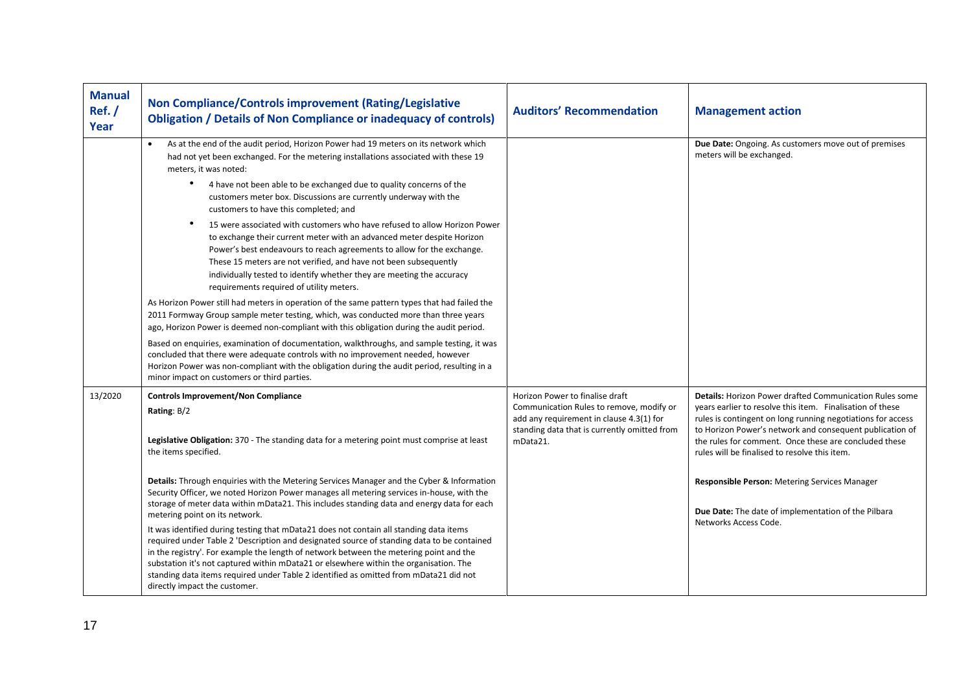| <b>Manual</b><br>Ref./<br><b>Year</b> | Non Compliance/Controls improvement (Rating/Legislative<br><b>Obligation / Details of Non Compliance or inadequacy of controls)</b>                                                                                                                                                                                                                                                                                                                                                                                                                                                                                                                                                                                                                                                                                                                                                                                                                                                                                                                                                                                                                                                                                                                                                                                                                                                               | <b>Auditors' Recommendation</b>                                                                                                                                                     | <b>Management action</b>                                                                                                                                                                                                                                                                                                                                         |
|---------------------------------------|---------------------------------------------------------------------------------------------------------------------------------------------------------------------------------------------------------------------------------------------------------------------------------------------------------------------------------------------------------------------------------------------------------------------------------------------------------------------------------------------------------------------------------------------------------------------------------------------------------------------------------------------------------------------------------------------------------------------------------------------------------------------------------------------------------------------------------------------------------------------------------------------------------------------------------------------------------------------------------------------------------------------------------------------------------------------------------------------------------------------------------------------------------------------------------------------------------------------------------------------------------------------------------------------------------------------------------------------------------------------------------------------------|-------------------------------------------------------------------------------------------------------------------------------------------------------------------------------------|------------------------------------------------------------------------------------------------------------------------------------------------------------------------------------------------------------------------------------------------------------------------------------------------------------------------------------------------------------------|
|                                       | As at the end of the audit period, Horizon Power had 19 meters on its network which<br>had not yet been exchanged. For the metering installations associated with these 19<br>meters, it was noted:<br>4 have not been able to be exchanged due to quality concerns of the<br>customers meter box. Discussions are currently underway with the<br>customers to have this completed; and<br>$\bullet$<br>15 were associated with customers who have refused to allow Horizon Power<br>to exchange their current meter with an advanced meter despite Horizon<br>Power's best endeavours to reach agreements to allow for the exchange.<br>These 15 meters are not verified, and have not been subsequently<br>individually tested to identify whether they are meeting the accuracy<br>requirements required of utility meters.<br>As Horizon Power still had meters in operation of the same pattern types that had failed the<br>2011 Formway Group sample meter testing, which, was conducted more than three years<br>ago, Horizon Power is deemed non-compliant with this obligation during the audit period.<br>Based on enquiries, examination of documentation, walkthroughs, and sample testing, it was<br>concluded that there were adequate controls with no improvement needed, however<br>Horizon Power was non-compliant with the obligation during the audit period, resulting in a |                                                                                                                                                                                     | Due Date: Ongoing. As customers move out of premises<br>meters will be exchanged.                                                                                                                                                                                                                                                                                |
|                                       | minor impact on customers or third parties.                                                                                                                                                                                                                                                                                                                                                                                                                                                                                                                                                                                                                                                                                                                                                                                                                                                                                                                                                                                                                                                                                                                                                                                                                                                                                                                                                       |                                                                                                                                                                                     |                                                                                                                                                                                                                                                                                                                                                                  |
| 13/2020                               | <b>Controls Improvement/Non Compliance</b><br>Rating: B/2<br>Legislative Obligation: 370 - The standing data for a metering point must comprise at least<br>the items specified.                                                                                                                                                                                                                                                                                                                                                                                                                                                                                                                                                                                                                                                                                                                                                                                                                                                                                                                                                                                                                                                                                                                                                                                                                  | Horizon Power to finalise draft<br>Communication Rules to remove, modify or<br>add any requirement in clause 4.3(1) for<br>standing data that is currently omitted from<br>mData21. | <b>Details: Horizon Power drafted Communication Rules some</b><br>years earlier to resolve this item. Finalisation of these<br>rules is contingent on long running negotiations for access<br>to Horizon Power's network and consequent publication of<br>the rules for comment. Once these are concluded these<br>rules will be finalised to resolve this item. |
|                                       | Details: Through enquiries with the Metering Services Manager and the Cyber & Information<br>Security Officer, we noted Horizon Power manages all metering services in-house, with the<br>storage of meter data within mData21. This includes standing data and energy data for each<br>metering point on its network.<br>It was identified during testing that mData21 does not contain all standing data items<br>required under Table 2 'Description and designated source of standing data to be contained<br>in the registry'. For example the length of network between the metering point and the<br>substation it's not captured within mData21 or elsewhere within the organisation. The<br>standing data items required under Table 2 identified as omitted from mData21 did not<br>directly impact the customer.                                                                                                                                                                                                                                                                                                                                                                                                                                                                                                                                                                       |                                                                                                                                                                                     | Responsible Person: Metering Services Manager<br>Due Date: The date of implementation of the Pilbara<br>Networks Access Code.                                                                                                                                                                                                                                    |